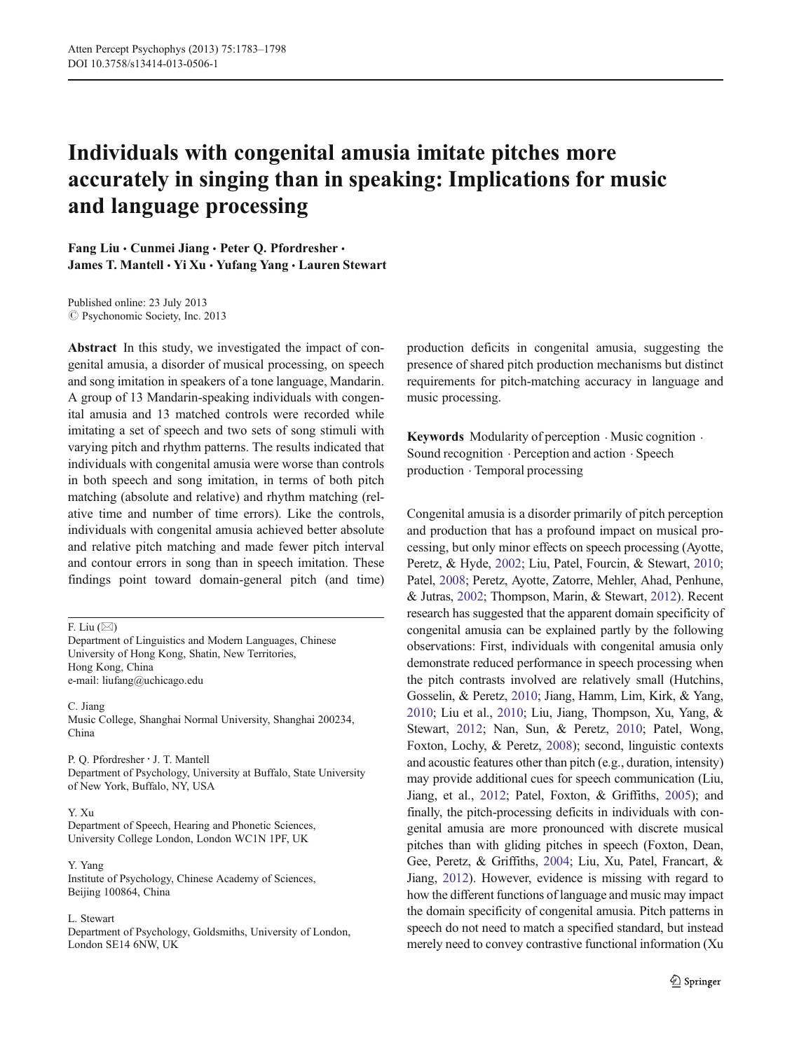# Individuals with congenital amusia imitate pitches more accurately in singing than in speaking: Implications for music and language processing

Fang Liu · Cunmei Jiang · Peter Q. Pfordresher · James T. Mantell · Yi Xu · Yufang Yang · Lauren Stewart

Published online: 23 July 2013  $\odot$  Psychonomic Society, Inc. 2013

Abstract In this study, we investigated the impact of congenital amusia, a disorder of musical processing, on speech and song imitation in speakers of a tone language, Mandarin. A group of 13 Mandarin-speaking individuals with congenital amusia and 13 matched controls were recorded while imitating a set of speech and two sets of song stimuli with varying pitch and rhythm patterns. The results indicated that individuals with congenital amusia were worse than controls in both speech and song imitation, in terms of both pitch matching (absolute and relative) and rhythm matching (relative time and number of time errors). Like the controls, individuals with congenital amusia achieved better absolute and relative pitch matching and made fewer pitch interval and contour errors in song than in speech imitation. These findings point toward domain-general pitch (and time)

Department of Linguistics and Modern Languages, Chinese University of Hong Kong, Shatin, New Territories, Hong Kong, China e-mail: liufang@uchicago.edu

C. Jiang Music College, Shanghai Normal University, Shanghai 200234, China

P. Q. Pfordresher : J. T. Mantell Department of Psychology, University at Buffalo, State University of New York, Buffalo, NY, USA

#### Y. Xu

Department of Speech, Hearing and Phonetic Sciences, University College London, London WC1N 1PF, UK

Y. Yang Institute of Psychology, Chinese Academy of Sciences, Beijing 100864, China

#### L. Stewart

Department of Psychology, Goldsmiths, University of London, London SE14 6NW, UK

production deficits in congenital amusia, suggesting the presence of shared pitch production mechanisms but distinct requirements for pitch-matching accuracy in language and music processing.

Keywords Modularity of perception  $\cdot$  Music cognition  $\cdot$ Sound recognition . Perception and action . Speech production . Temporal processing

Congenital amusia is a disorder primarily of pitch perception and production that has a profound impact on musical processing, but only minor effects on speech processing (Ayotte, Peretz, & Hyde, [2002](#page-13-0); Liu, Patel, Fourcin, & Stewart, [2010;](#page-14-0) Patel, [2008](#page-14-0); Peretz, Ayotte, Zatorre, Mehler, Ahad, Penhune, & Jutras, [2002;](#page-14-0) Thompson, Marin, & Stewart, [2012](#page-14-0)). Recent research has suggested that the apparent domain specificity of congenital amusia can be explained partly by the following observations: First, individuals with congenital amusia only demonstrate reduced performance in speech processing when the pitch contrasts involved are relatively small (Hutchins, Gosselin, & Peretz, [2010](#page-14-0); Jiang, Hamm, Lim, Kirk, & Yang, [2010;](#page-14-0) Liu et al., [2010;](#page-14-0) Liu, Jiang, Thompson, Xu, Yang, & Stewart, [2012](#page-14-0); Nan, Sun, & Peretz, [2010](#page-14-0); Patel, Wong, Foxton, Lochy, & Peretz, [2008\)](#page-14-0); second, linguistic contexts and acoustic features other than pitch (e.g., duration, intensity) may provide additional cues for speech communication (Liu, Jiang, et al., [2012;](#page-14-0) Patel, Foxton, & Griffiths, [2005\)](#page-14-0); and finally, the pitch-processing deficits in individuals with congenital amusia are more pronounced with discrete musical pitches than with gliding pitches in speech (Foxton, Dean, Gee, Peretz, & Griffiths, [2004](#page-14-0); Liu, Xu, Patel, Francart, & Jiang, [2012\)](#page-14-0). However, evidence is missing with regard to how the different functions of language and music may impact the domain specificity of congenital amusia. Pitch patterns in speech do not need to match a specified standard, but instead merely need to convey contrastive functional information (Xu

F. Liu  $(\boxtimes)$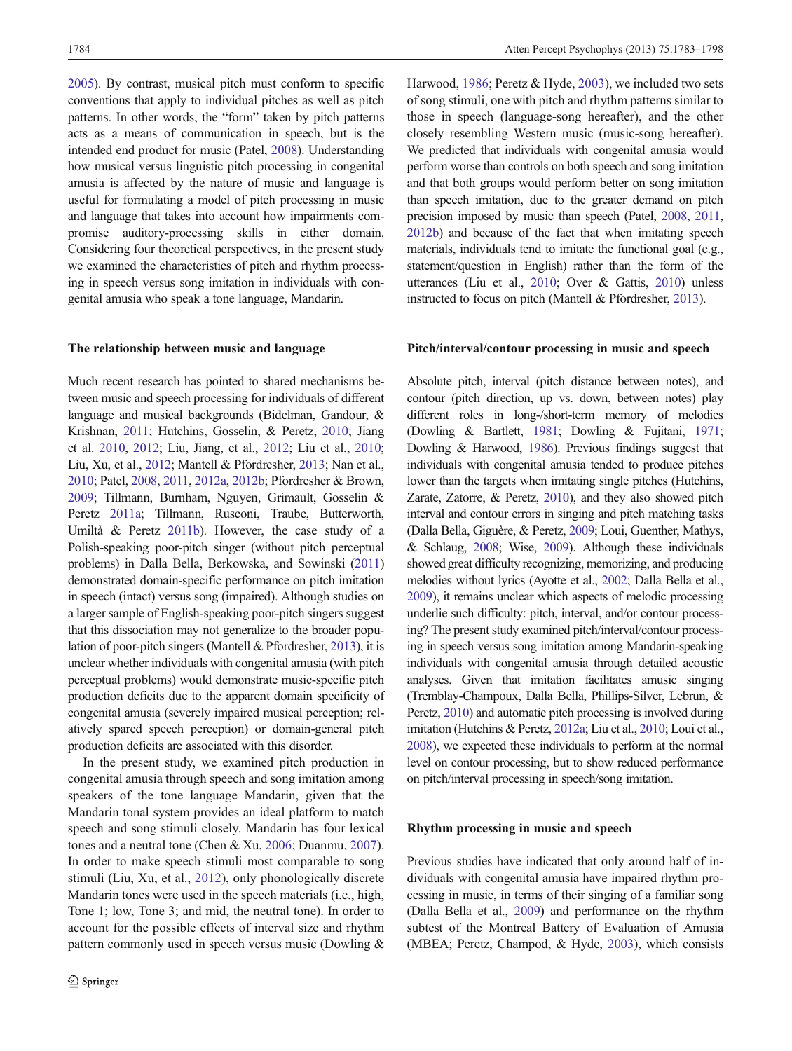[2005\)](#page-15-0). By contrast, musical pitch must conform to specific conventions that apply to individual pitches as well as pitch patterns. In other words, the "form" taken by pitch patterns acts as a means of communication in speech, but is the intended end product for music (Patel, [2008\)](#page-14-0). Understanding how musical versus linguistic pitch processing in congenital amusia is affected by the nature of music and language is useful for formulating a model of pitch processing in music and language that takes into account how impairments compromise auditory-processing skills in either domain. Considering four theoretical perspectives, in the present study we examined the characteristics of pitch and rhythm processing in speech versus song imitation in individuals with congenital amusia who speak a tone language, Mandarin.

## The relationship between music and language

Much recent research has pointed to shared mechanisms between music and speech processing for individuals of different language and musical backgrounds (Bidelman, Gandour, & Krishnan, [2011;](#page-13-0) Hutchins, Gosselin, & Peretz, [2010;](#page-14-0) Jiang et al. [2010](#page-14-0), [2012;](#page-14-0) Liu, Jiang, et al., [2012](#page-14-0); Liu et al., [2010](#page-14-0); Liu, Xu, et al., [2012;](#page-14-0) Mantell & Pfordresher, [2013](#page-14-0); Nan et al., [2010](#page-14-0); Patel, [2008](#page-14-0), [2011,](#page-14-0) [2012a](#page-14-0), [2012b;](#page-14-0) Pfordresher & Brown, [2009](#page-14-0); Tillmann, Burnham, Nguyen, Grimault, Gosselin & Peretz [2011a;](#page-14-0) Tillmann, Rusconi, Traube, Butterworth, Umiltà & Peretz [2011b](#page-14-0)). However, the case study of a Polish-speaking poor-pitch singer (without pitch perceptual problems) in Dalla Bella, Berkowska, and Sowinski ([2011\)](#page-13-0) demonstrated domain-specific performance on pitch imitation in speech (intact) versus song (impaired). Although studies on a larger sample of English-speaking poor-pitch singers suggest that this dissociation may not generalize to the broader population of poor-pitch singers (Mantell & Pfordresher, [2013\)](#page-14-0), it is unclear whether individuals with congenital amusia (with pitch perceptual problems) would demonstrate music-specific pitch production deficits due to the apparent domain specificity of congenital amusia (severely impaired musical perception; relatively spared speech perception) or domain-general pitch production deficits are associated with this disorder.

In the present study, we examined pitch production in congenital amusia through speech and song imitation among speakers of the tone language Mandarin, given that the Mandarin tonal system provides an ideal platform to match speech and song stimuli closely. Mandarin has four lexical tones and a neutral tone (Chen & Xu, [2006;](#page-13-0) Duanmu, [2007](#page-14-0)). In order to make speech stimuli most comparable to song stimuli (Liu, Xu, et al., [2012\)](#page-14-0), only phonologically discrete Mandarin tones were used in the speech materials (i.e., high, Tone 1; low, Tone 3; and mid, the neutral tone). In order to account for the possible effects of interval size and rhythm pattern commonly used in speech versus music (Dowling &

Harwood, [1986;](#page-14-0) Peretz & Hyde, [2003\)](#page-14-0), we included two sets of song stimuli, one with pitch and rhythm patterns similar to those in speech (language-song hereafter), and the other closely resembling Western music (music-song hereafter). We predicted that individuals with congenital amusia would perform worse than controls on both speech and song imitation and that both groups would perform better on song imitation than speech imitation, due to the greater demand on pitch precision imposed by music than speech (Patel, [2008,](#page-14-0) [2011,](#page-14-0) [2012b](#page-14-0)) and because of the fact that when imitating speech materials, individuals tend to imitate the functional goal (e.g., statement/question in English) rather than the form of the utterances (Liu et al., [2010](#page-14-0); Over & Gattis, [2010](#page-14-0)) unless instructed to focus on pitch (Mantell & Pfordresher, [2013\)](#page-14-0).

## Pitch/interval/contour processing in music and speech

Absolute pitch, interval (pitch distance between notes), and contour (pitch direction, up vs. down, between notes) play different roles in long-/short-term memory of melodies (Dowling & Bartlett, [1981;](#page-13-0) Dowling & Fujitani, [1971;](#page-14-0) Dowling & Harwood, [1986](#page-14-0)). Previous findings suggest that individuals with congenital amusia tended to produce pitches lower than the targets when imitating single pitches (Hutchins, Zarate, Zatorre, & Peretz, [2010](#page-14-0)), and they also showed pitch interval and contour errors in singing and pitch matching tasks (Dalla Bella, Giguère, & Peretz, [2009](#page-13-0); Loui, Guenther, Mathys, & Schlaug, [2008](#page-14-0); Wise, [2009\)](#page-15-0). Although these individuals showed great difficulty recognizing, memorizing, and producing melodies without lyrics (Ayotte et al., [2002;](#page-13-0) Dalla Bella et al., [2009](#page-13-0)), it remains unclear which aspects of melodic processing underlie such difficulty: pitch, interval, and/or contour processing? The present study examined pitch/interval/contour processing in speech versus song imitation among Mandarin-speaking individuals with congenital amusia through detailed acoustic analyses. Given that imitation facilitates amusic singing (Tremblay-Champoux, Dalla Bella, Phillips-Silver, Lebrun, & Peretz, [2010\)](#page-15-0) and automatic pitch processing is involved during imitation (Hutchins & Peretz, [2012a](#page-14-0); Liu et al., [2010](#page-14-0); Loui et al., [2008](#page-14-0)), we expected these individuals to perform at the normal level on contour processing, but to show reduced performance on pitch/interval processing in speech/song imitation.

#### Rhythm processing in music and speech

Previous studies have indicated that only around half of individuals with congenital amusia have impaired rhythm processing in music, in terms of their singing of a familiar song (Dalla Bella et al., [2009](#page-13-0)) and performance on the rhythm subtest of the Montreal Battery of Evaluation of Amusia (MBEA; Peretz, Champod, & Hyde, [2003\)](#page-14-0), which consists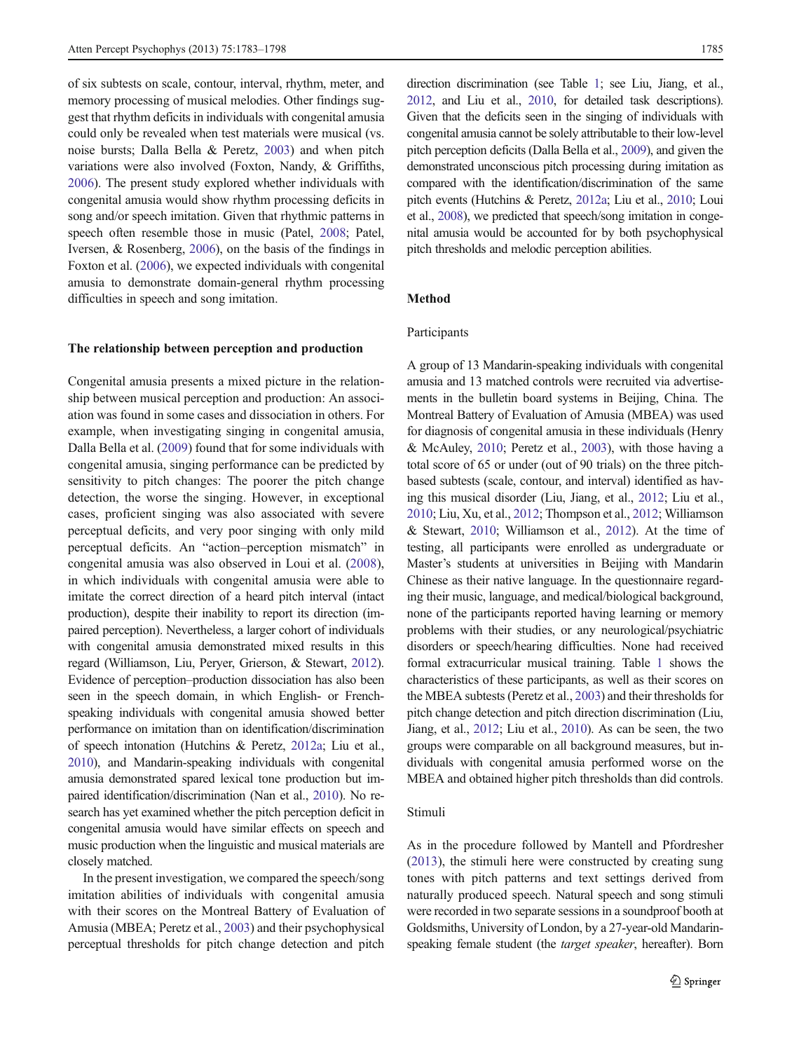of six subtests on scale, contour, interval, rhythm, meter, and memory processing of musical melodies. Other findings suggest that rhythm deficits in individuals with congenital amusia could only be revealed when test materials were musical (vs. noise bursts; Dalla Bella & Peretz, [2003](#page-13-0)) and when pitch variations were also involved (Foxton, Nandy, & Griffiths, [2006\)](#page-14-0). The present study explored whether individuals with congenital amusia would show rhythm processing deficits in song and/or speech imitation. Given that rhythmic patterns in speech often resemble those in music (Patel, [2008](#page-14-0); Patel, Iversen, & Rosenberg, [2006](#page-14-0)), on the basis of the findings in Foxton et al. [\(2006](#page-14-0)), we expected individuals with congenital amusia to demonstrate domain-general rhythm processing difficulties in speech and song imitation.

## The relationship between perception and production

Congenital amusia presents a mixed picture in the relationship between musical perception and production: An association was found in some cases and dissociation in others. For example, when investigating singing in congenital amusia, Dalla Bella et al. [\(2009](#page-13-0)) found that for some individuals with congenital amusia, singing performance can be predicted by sensitivity to pitch changes: The poorer the pitch change detection, the worse the singing. However, in exceptional cases, proficient singing was also associated with severe perceptual deficits, and very poor singing with only mild perceptual deficits. An "action–perception mismatch" in congenital amusia was also observed in Loui et al. [\(2008](#page-14-0)), in which individuals with congenital amusia were able to imitate the correct direction of a heard pitch interval (intact production), despite their inability to report its direction (impaired perception). Nevertheless, a larger cohort of individuals with congenital amusia demonstrated mixed results in this regard (Williamson, Liu, Peryer, Grierson, & Stewart, [2012\)](#page-15-0). Evidence of perception–production dissociation has also been seen in the speech domain, in which English- or Frenchspeaking individuals with congenital amusia showed better performance on imitation than on identification/discrimination of speech intonation (Hutchins & Peretz, [2012a](#page-14-0); Liu et al., [2010](#page-14-0)), and Mandarin-speaking individuals with congenital amusia demonstrated spared lexical tone production but impaired identification/discrimination (Nan et al., [2010\)](#page-14-0). No research has yet examined whether the pitch perception deficit in congenital amusia would have similar effects on speech and music production when the linguistic and musical materials are closely matched.

In the present investigation, we compared the speech/song imitation abilities of individuals with congenital amusia with their scores on the Montreal Battery of Evaluation of Amusia (MBEA; Peretz et al., [2003](#page-14-0)) and their psychophysical perceptual thresholds for pitch change detection and pitch

direction discrimination (see Table [1](#page-3-0); see Liu, Jiang, et al., [2012](#page-14-0), and Liu et al., [2010](#page-14-0), for detailed task descriptions). Given that the deficits seen in the singing of individuals with congenital amusia cannot be solely attributable to their low-level pitch perception deficits (Dalla Bella et al., [2009](#page-13-0)), and given the demonstrated unconscious pitch processing during imitation as compared with the identification/discrimination of the same pitch events (Hutchins & Peretz, [2012a](#page-14-0); Liu et al., [2010;](#page-14-0) Loui et al., [2008](#page-14-0)), we predicted that speech/song imitation in congenital amusia would be accounted for by both psychophysical pitch thresholds and melodic perception abilities.

# Method

# Participants

A group of 13 Mandarin-speaking individuals with congenital amusia and 13 matched controls were recruited via advertisements in the bulletin board systems in Beijing, China. The Montreal Battery of Evaluation of Amusia (MBEA) was used for diagnosis of congenital amusia in these individuals (Henry & McAuley, [2010](#page-14-0); Peretz et al., [2003\)](#page-14-0), with those having a total score of 65 or under (out of 90 trials) on the three pitchbased subtests (scale, contour, and interval) identified as having this musical disorder (Liu, Jiang, et al., [2012;](#page-14-0) Liu et al., [2010;](#page-14-0) Liu, Xu, et al., [2012;](#page-14-0) Thompson et al., [2012](#page-14-0); Williamson & Stewart, [2010](#page-15-0); Williamson et al., [2012](#page-15-0)). At the time of testing, all participants were enrolled as undergraduate or Master's students at universities in Beijing with Mandarin Chinese as their native language. In the questionnaire regarding their music, language, and medical/biological background, none of the participants reported having learning or memory problems with their studies, or any neurological/psychiatric disorders or speech/hearing difficulties. None had received formal extracurricular musical training. Table [1](#page-3-0) shows the characteristics of these participants, as well as their scores on the MBEA subtests (Peretz et al., [2003\)](#page-14-0) and their thresholds for pitch change detection and pitch direction discrimination (Liu, Jiang, et al., [2012;](#page-14-0) Liu et al., [2010\)](#page-14-0). As can be seen, the two groups were comparable on all background measures, but individuals with congenital amusia performed worse on the MBEA and obtained higher pitch thresholds than did controls.

## Stimuli

As in the procedure followed by Mantell and Pfordresher [\(2013](#page-14-0)), the stimuli here were constructed by creating sung tones with pitch patterns and text settings derived from naturally produced speech. Natural speech and song stimuli were recorded in two separate sessions in a soundproof booth at Goldsmiths, University of London, by a 27-year-old Mandarinspeaking female student (the target speaker, hereafter). Born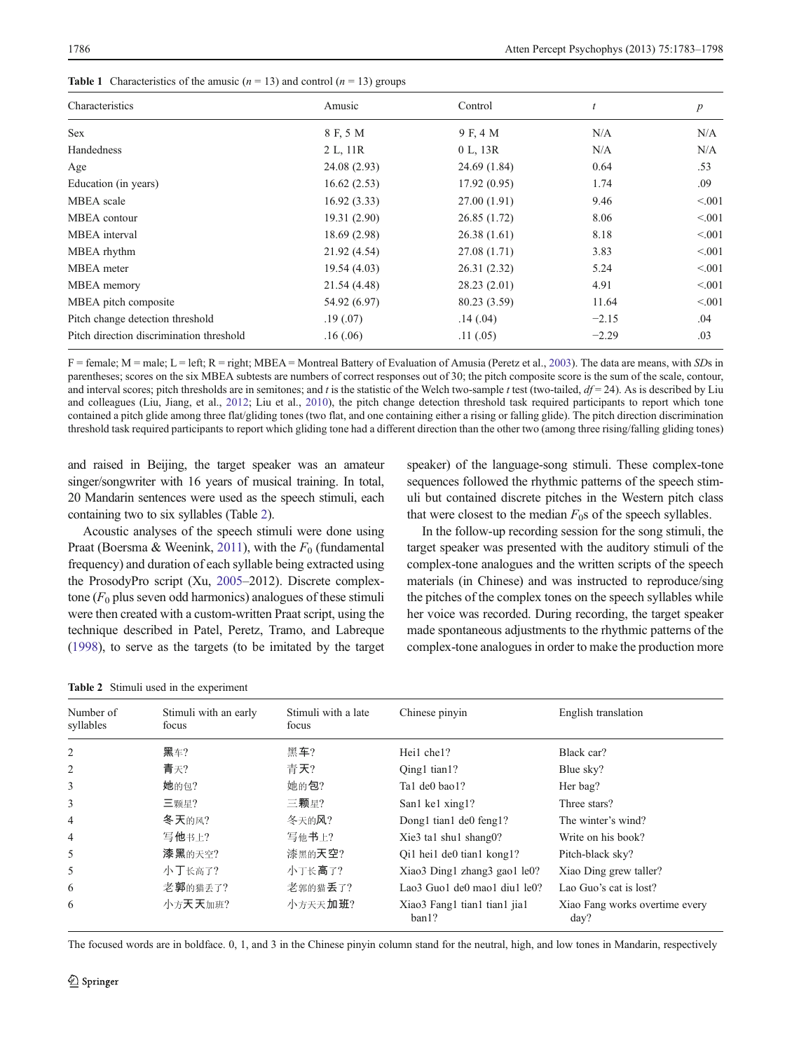| Characteristics                          | Amusic       | Control      |         | $\overline{p}$ |  |
|------------------------------------------|--------------|--------------|---------|----------------|--|
| <b>Sex</b>                               | 8 F, 5 M     | 9 F, 4 M     | N/A     | N/A            |  |
| Handedness                               | 2 L, 11R     | 0 L, 13R     | N/A     | N/A            |  |
| Age                                      | 24.08 (2.93) | 24.69(1.84)  | 0.64    | .53            |  |
| Education (in years)                     | 16.62(2.53)  | 17.92(0.95)  | 1.74    | .09            |  |
| <b>MBEA</b> scale                        | 16.92(3.33)  | 27.00(1.91)  | 9.46    | < 001          |  |
| MBEA contour                             | 19.31(2.90)  | 26.85(1.72)  | 8.06    | < 0.01         |  |
| MBEA interval                            | 18.69(2.98)  | 26.38(1.61)  | 8.18    | < 001          |  |
| MBEA rhythm                              | 21.92 (4.54) | 27.08 (1.71) | 3.83    | < 0.01         |  |
| MBEA meter                               | 19.54(4.03)  | 26.31(2.32)  | 5.24    | < 001          |  |
| <b>MBEA</b> memory                       | 21.54 (4.48) | 28.23(2.01)  | 4.91    | < 001          |  |
| MBEA pitch composite                     | 54.92 (6.97) | 80.23 (3.59) | 11.64   | < 0.01         |  |
| Pitch change detection threshold         | .19(0.07)    | .14(0.04)    | $-2.15$ | .04            |  |
| Pitch direction discrimination threshold | .16(0.06)    | .11(0.05)    | $-2.29$ | .03            |  |

<span id="page-3-0"></span>

|  | <b>Table 1</b> Characteristics of the amusic $(n = 13)$ and control $(n = 13)$ groups |  |  |  |  |  |  |  |
|--|---------------------------------------------------------------------------------------|--|--|--|--|--|--|--|
|--|---------------------------------------------------------------------------------------|--|--|--|--|--|--|--|

 $F =$  female;  $M =$  male;  $L =$  left;  $R =$  right; MBEA = Montreal Battery of Evaluation of Amusia (Peretz et al., [2003\)](#page-14-0). The data are means, with SDs in parentheses; scores on the six MBEA subtests are numbers of correct responses out of 30; the pitch composite score is the sum of the scale, contour, and interval scores; pitch thresholds are in semitones; and t is the statistic of the Welch two-sample t test (two-tailed,  $df = 24$ ). As is described by Liu and colleagues (Liu, Jiang, et al., [2012](#page-14-0); Liu et al., [2010\)](#page-14-0), the pitch change detection threshold task required participants to report which tone contained a pitch glide among three flat/gliding tones (two flat, and one containing either a rising or falling glide). The pitch direction discrimination threshold task required participants to report which gliding tone had a different direction than the other two (among three rising/falling gliding tones)

and raised in Beijing, the target speaker was an amateur singer/songwriter with 16 years of musical training. In total, 20 Mandarin sentences were used as the speech stimuli, each containing two to six syllables (Table 2).

Acoustic analyses of the speech stimuli were done using Praat (Boersma & Weenink, [2011\)](#page-13-0), with the  $F_0$  (fundamental frequency) and duration of each syllable being extracted using the ProsodyPro script (Xu, [2005](#page-15-0)–2012). Discrete complextone  $(F_0$  plus seven odd harmonics) analogues of these stimuli were then created with a custom-written Praat script, using the technique described in Patel, Peretz, Tramo, and Labreque [\(1998\)](#page-14-0), to serve as the targets (to be imitated by the target

speaker) of the language-song stimuli. These complex-tone sequences followed the rhythmic patterns of the speech stimuli but contained discrete pitches in the Western pitch class that were closest to the median  $F_0$ s of the speech syllables.

In the follow-up recording session for the song stimuli, the target speaker was presented with the auditory stimuli of the complex-tone analogues and the written scripts of the speech materials (in Chinese) and was instructed to reproduce/sing the pitches of the complex tones on the speech syllables while her voice was recorded. During recording, the target speaker made spontaneous adjustments to the rhythmic patterns of the complex-tone analogues in order to make the production more

Table 2 Stimuli used in the experiment

| Number of<br>syllables | Stimuli with an early<br>focus | Stimuli with a late<br>focus | Chinese pinyin                        | English translation                    |
|------------------------|--------------------------------|------------------------------|---------------------------------------|----------------------------------------|
| $\overline{2}$         | 黑车?                            | 黑车?                          | Heil chel?                            | Black car?                             |
| $\overline{2}$         | 青天?                            | 青天?                          | Oing1 tian1?                          | Blue sky?                              |
| 3                      | 她的包?                           | 她的包?                         | Ta1 de0 bao1?                         | Her bag?                               |
| 3                      | 三颗星?                           | 三颗星?                         | San1 ke1 xing1?                       | Three stars?                           |
| $\overline{4}$         | 冬天的风?                          | 冬天的风?                        | Dong1 tian1 de0 feng1?                | The winter's wind?                     |
| $\overline{4}$         | 写他书 <sub>1.2</sub>             | 写他书上?                        | Xie <sub>3</sub> ta1 shu1 shang0?     | Write on his book?                     |
| 5                      | 漆黑的天空?                         | 漆黑的天空?                       | Qi1 hei1 de0 tian1 kong1?             | Pitch-black sky?                       |
| 5                      | 小丁长高了?                         | 小丁长高了?                       | Xiao3 Ding1 zhang3 gao1 le0?          | Xiao Ding grew taller?                 |
| 6                      | 老郭的猫丢了?                        | 老郭的猫丢了?                      | Lao3 Guo1 de0 mao1 diu1 $le0$ ?       | Lao Guo's cat is lost?                 |
| 6                      | 小方天天加班?                        | 小方天天加班?                      | Xiao3 Fang1 tian1 tian1 jia1<br>ban1? | Xiao Fang works overtime every<br>day? |

The focused words are in boldface. 0, 1, and 3 in the Chinese pinyin column stand for the neutral, high, and low tones in Mandarin, respectively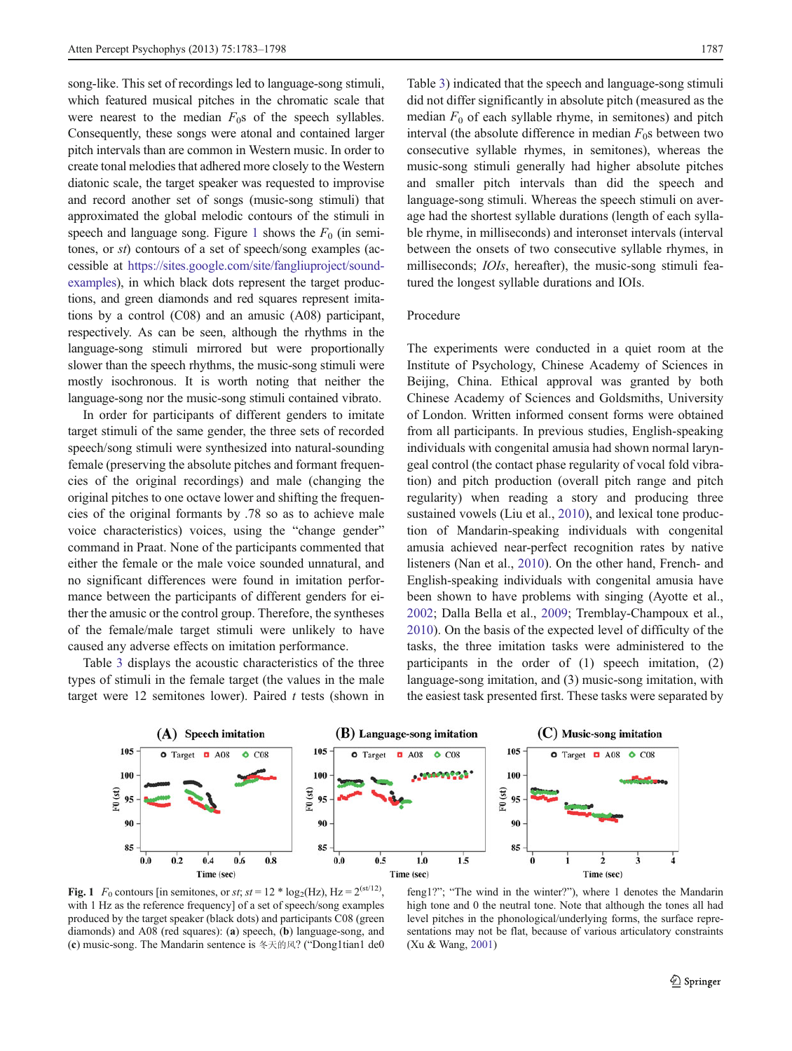song-like. This set of recordings led to language-song stimuli, which featured musical pitches in the chromatic scale that were nearest to the median  $F_0$ s of the speech syllables. Consequently, these songs were atonal and contained larger pitch intervals than are common in Western music. In order to create tonal melodies that adhered more closely to the Western diatonic scale, the target speaker was requested to improvise and record another set of songs (music-song stimuli) that approximated the global melodic contours of the stimuli in speech and language song. Figure 1 shows the  $F_0$  (in semitones, or st) contours of a set of speech/song examples (accessible at [https://sites.google.com/site/fangliuproject/sound](https://sites.google.com/site/fangliuproject/sound-examples)[examples\)](https://sites.google.com/site/fangliuproject/sound-examples), in which black dots represent the target productions, and green diamonds and red squares represent imitations by a control (C08) and an amusic (A08) participant, respectively. As can be seen, although the rhythms in the language-song stimuli mirrored but were proportionally slower than the speech rhythms, the music-song stimuli were mostly isochronous. It is worth noting that neither the language-song nor the music-song stimuli contained vibrato.

In order for participants of different genders to imitate target stimuli of the same gender, the three sets of recorded speech/song stimuli were synthesized into natural-sounding female (preserving the absolute pitches and formant frequencies of the original recordings) and male (changing the original pitches to one octave lower and shifting the frequencies of the original formants by .78 so as to achieve male voice characteristics) voices, using the "change gender" command in Praat. None of the participants commented that either the female or the male voice sounded unnatural, and no significant differences were found in imitation performance between the participants of different genders for either the amusic or the control group. Therefore, the syntheses of the female/male target stimuli were unlikely to have caused any adverse effects on imitation performance.

Table [3](#page-5-0) displays the acoustic characteristics of the three types of stimuli in the female target (the values in the male target were 12 semitones lower). Paired  $t$  tests (shown in

Table [3](#page-5-0)) indicated that the speech and language-song stimuli did not differ significantly in absolute pitch (measured as the median  $F_0$  of each syllable rhyme, in semitones) and pitch interval (the absolute difference in median  $F_0$ s between two consecutive syllable rhymes, in semitones), whereas the music-song stimuli generally had higher absolute pitches and smaller pitch intervals than did the speech and language-song stimuli. Whereas the speech stimuli on average had the shortest syllable durations (length of each syllable rhyme, in milliseconds) and interonset intervals (interval between the onsets of two consecutive syllable rhymes, in milliseconds; *IOIs*, hereafter), the music-song stimuli featured the longest syllable durations and IOIs.

# Procedure

The experiments were conducted in a quiet room at the Institute of Psychology, Chinese Academy of Sciences in Beijing, China. Ethical approval was granted by both Chinese Academy of Sciences and Goldsmiths, University of London. Written informed consent forms were obtained from all participants. In previous studies, English-speaking individuals with congenital amusia had shown normal laryngeal control (the contact phase regularity of vocal fold vibration) and pitch production (overall pitch range and pitch regularity) when reading a story and producing three sustained vowels (Liu et al., [2010\)](#page-14-0), and lexical tone production of Mandarin-speaking individuals with congenital amusia achieved near-perfect recognition rates by native listeners (Nan et al., [2010](#page-14-0)). On the other hand, French- and English-speaking individuals with congenital amusia have been shown to have problems with singing (Ayotte et al., [2002](#page-13-0); Dalla Bella et al., [2009](#page-13-0); Tremblay-Champoux et al., [2010](#page-15-0)). On the basis of the expected level of difficulty of the tasks, the three imitation tasks were administered to the participants in the order of (1) speech imitation, (2) language-song imitation, and (3) music-song imitation, with the easiest task presented first. These tasks were separated by



Fig. 1  $F_0$  contours [in semitones, or st; st = 12 \* log<sub>2</sub>(Hz), Hz = 2<sup>(st/12)</sup>, with 1 Hz as the reference frequency] of a set of speech/song examples produced by the target speaker (black dots) and participants C08 (green diamonds) and A08 (red squares): (a) speech, (b) language-song, and (c) music-song. The Mandarin sentence is 冬天的风? ("Dong1tian1 de0

feng1?"; "The wind in the winter?"), where 1 denotes the Mandarin high tone and 0 the neutral tone. Note that although the tones all had level pitches in the phonological/underlying forms, the surface representations may not be flat, because of various articulatory constraints (Xu & Wang, [2001](#page-15-0))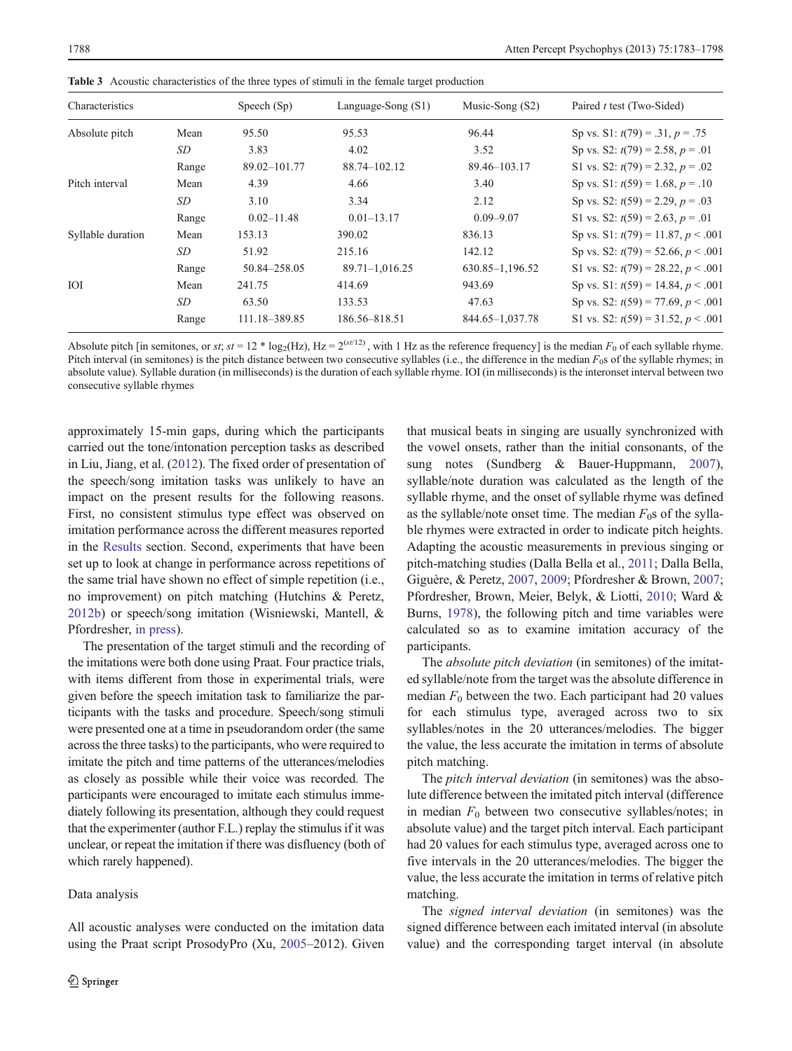| <b>Characteristics</b> |           | Speech $(Sp)$   | Language-Song $(S1)$ | Music-Song (S2) | Paired t test (Two-Sided)               |
|------------------------|-----------|-----------------|----------------------|-----------------|-----------------------------------------|
| Absolute pitch         | Mean      | 95.50           | 95.53                | 96.44           | Sp vs. S1: $t(79) = .31, p = .75$       |
|                        | SD        | 3.83            | 4.02                 | 3.52            | Sp vs. S2: $t(79) = 2.58$ , $p = .01$   |
|                        | Range     | 89.02-101.77    | 88.74-102.12         | 89.46-103.17    | S1 vs. S2: $t(79) = 2.32, p = .02$      |
| Pitch interval         | Mean      | 4.39            | 4.66                 | 3.40            | Sp vs. S1: $t(59) = 1.68$ , $p = .10$   |
|                        | <i>SD</i> | 3.10            | 3.34                 | 2.12            | Sp vs. S2: $t(59) = 2.29$ , $p = .03$   |
|                        | Range     | $0.02 - 11.48$  | $0.01 - 13.17$       | $0.09 - 9.07$   | S1 vs. S2: $t(59) = 2.63$ , $p = .01$   |
| Syllable duration      | Mean      | 153.13          | 390.02               | 836.13          | Sp vs. S1: $t(79) = 11.87, p < .001$    |
|                        | SD.       | 51.92           | 215.16               | 142.12          | Sp vs. S2: $t(79) = 52.66, p < .001$    |
|                        | Range     | 50.84-258.05    | $89.71 - 1.016.25$   | 630.85-1,196.52 | S1 vs. S2: $t(79) = 28.22, p < .001$    |
| <b>TOI</b>             | Mean      | 241.75          | 414.69               | 943.69          | Sp vs. S1: $t(59) = 14.84$ , $p < .001$ |
|                        | SD.       | 63.50           | 133.53               | 47.63           | Sp vs. S2: $t(59) = 77.69$ , $p < .001$ |
|                        | Range     | 111.18 - 389.85 | 186.56-818.51        | 844.65-1,037.78 | S1 vs. S2: $t(59) = 31.52, p < .001$    |

<span id="page-5-0"></span>Table 3 Acoustic characteristics of the three types of stimuli in the female target production

Absolute pitch [in semitones, or st; st = 12 \* log<sub>2</sub>(Hz), Hz =  $2<sup>(s/t/12)</sup>$ , with 1 Hz as the reference frequency] is the median  $F_0$  of each syllable rhyme. Pitch interval (in semitones) is the pitch distance between two consecutive syllables (i.e., the difference in the median  $F_0$ s of the syllable rhymes; in absolute value). Syllable duration (in milliseconds) is the duration of each syllable rhyme. IOI (in milliseconds) is the interonset interval between two consecutive syllable rhymes

approximately 15-min gaps, during which the participants carried out the tone/intonation perception tasks as described in Liu, Jiang, et al. [\(2012](#page-14-0)). The fixed order of presentation of the speech/song imitation tasks was unlikely to have an impact on the present results for the following reasons. First, no consistent stimulus type effect was observed on imitation performance across the different measures reported in the [Results](#page-6-0) section. Second, experiments that have been set up to look at change in performance across repetitions of the same trial have shown no effect of simple repetition (i.e., no improvement) on pitch matching (Hutchins & Peretz, [2012b\)](#page-14-0) or speech/song imitation (Wisniewski, Mantell, & Pfordresher, [in press](#page-15-0)).

The presentation of the target stimuli and the recording of the imitations were both done using Praat. Four practice trials, with items different from those in experimental trials, were given before the speech imitation task to familiarize the participants with the tasks and procedure. Speech/song stimuli were presented one at a time in pseudorandom order (the same across the three tasks) to the participants, who were required to imitate the pitch and time patterns of the utterances/melodies as closely as possible while their voice was recorded. The participants were encouraged to imitate each stimulus immediately following its presentation, although they could request that the experimenter (author F.L.) replay the stimulus if it was unclear, or repeat the imitation if there was disfluency (both of which rarely happened).

## Data analysis

that musical beats in singing are usually synchronized with the vowel onsets, rather than the initial consonants, of the sung notes (Sundberg & Bauer-Huppmann, [2007\)](#page-14-0), syllable/note duration was calculated as the length of the syllable rhyme, and the onset of syllable rhyme was defined as the syllable/note onset time. The median  $F_0$ s of the syllable rhymes were extracted in order to indicate pitch heights. Adapting the acoustic measurements in previous singing or pitch-matching studies (Dalla Bella et al., [2011](#page-13-0); Dalla Bella, Giguère, & Peretz, [2007,](#page-13-0) [2009;](#page-13-0) Pfordresher & Brown, [2007;](#page-14-0) Pfordresher, Brown, Meier, Belyk, & Liotti, [2010](#page-14-0); Ward & Burns, [1978\)](#page-15-0), the following pitch and time variables were calculated so as to examine imitation accuracy of the participants.

The *absolute pitch deviation* (in semitones) of the imitated syllable/note from the target was the absolute difference in median  $F_0$  between the two. Each participant had 20 values for each stimulus type, averaged across two to six syllables/notes in the 20 utterances/melodies. The bigger the value, the less accurate the imitation in terms of absolute pitch matching.

The *pitch interval deviation* (in semitones) was the absolute difference between the imitated pitch interval (difference in median  $F_0$  between two consecutive syllables/notes; in absolute value) and the target pitch interval. Each participant had 20 values for each stimulus type, averaged across one to five intervals in the 20 utterances/melodies. The bigger the value, the less accurate the imitation in terms of relative pitch matching.

The signed interval deviation (in semitones) was the signed difference between each imitated interval (in absolute value) and the corresponding target interval (in absolute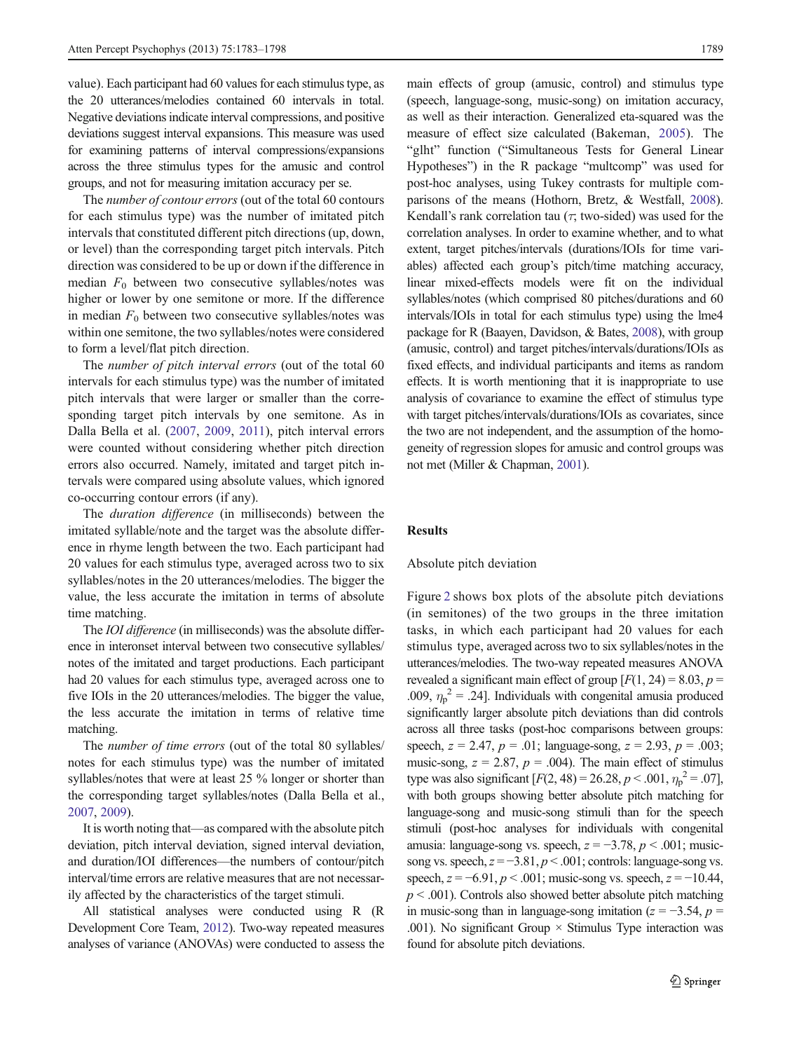<span id="page-6-0"></span>value). Each participant had 60 values for each stimulus type, as the 20 utterances/melodies contained 60 intervals in total. Negative deviations indicate interval compressions, and positive deviations suggest interval expansions. This measure was used for examining patterns of interval compressions/expansions across the three stimulus types for the amusic and control groups, and not for measuring imitation accuracy per se.

The *number of contour errors* (out of the total 60 contours for each stimulus type) was the number of imitated pitch intervals that constituted different pitch directions (up, down, or level) than the corresponding target pitch intervals. Pitch direction was considered to be up or down if the difference in median  $F_0$  between two consecutive syllables/notes was higher or lower by one semitone or more. If the difference in median  $F_0$  between two consecutive syllables/notes was within one semitone, the two syllables/notes were considered to form a level/flat pitch direction.

The number of pitch interval errors (out of the total 60 intervals for each stimulus type) was the number of imitated pitch intervals that were larger or smaller than the corresponding target pitch intervals by one semitone. As in Dalla Bella et al. ([2007,](#page-13-0) [2009,](#page-13-0) [2011\)](#page-13-0), pitch interval errors were counted without considering whether pitch direction errors also occurred. Namely, imitated and target pitch intervals were compared using absolute values, which ignored co-occurring contour errors (if any).

The duration difference (in milliseconds) between the imitated syllable/note and the target was the absolute difference in rhyme length between the two. Each participant had 20 values for each stimulus type, averaged across two to six syllables/notes in the 20 utterances/melodies. The bigger the value, the less accurate the imitation in terms of absolute time matching.

The IOI difference (in milliseconds) was the absolute difference in interonset interval between two consecutive syllables/ notes of the imitated and target productions. Each participant had 20 values for each stimulus type, averaged across one to five IOIs in the 20 utterances/melodies. The bigger the value, the less accurate the imitation in terms of relative time matching.

The number of time errors (out of the total 80 syllables/ notes for each stimulus type) was the number of imitated syllables/notes that were at least 25 % longer or shorter than the corresponding target syllables/notes (Dalla Bella et al., [2007,](#page-13-0) [2009](#page-13-0)).

It is worth noting that—as compared with the absolute pitch deviation, pitch interval deviation, signed interval deviation, and duration/IOI differences—the numbers of contour/pitch interval/time errors are relative measures that are not necessarily affected by the characteristics of the target stimuli.

All statistical analyses were conducted using R (R Development Core Team, [2012\)](#page-14-0). Two-way repeated measures analyses of variance (ANOVAs) were conducted to assess the main effects of group (amusic, control) and stimulus type (speech, language-song, music-song) on imitation accuracy, as well as their interaction. Generalized eta-squared was the measure of effect size calculated (Bakeman, [2005](#page-13-0)). The "glht" function ("Simultaneous Tests for General Linear Hypotheses") in the R package "multcomp" was used for post-hoc analyses, using Tukey contrasts for multiple comparisons of the means (Hothorn, Bretz, & Westfall, [2008\)](#page-14-0). Kendall's rank correlation tau ( $\tau$ ; two-sided) was used for the correlation analyses. In order to examine whether, and to what extent, target pitches/intervals (durations/IOIs for time variables) affected each group's pitch/time matching accuracy, linear mixed-effects models were fit on the individual syllables/notes (which comprised 80 pitches/durations and 60 intervals/IOIs in total for each stimulus type) using the lme4 package for R (Baayen, Davidson, & Bates, [2008\)](#page-13-0), with group (amusic, control) and target pitches/intervals/durations/IOIs as fixed effects, and individual participants and items as random effects. It is worth mentioning that it is inappropriate to use analysis of covariance to examine the effect of stimulus type with target pitches/intervals/durations/IOIs as covariates, since the two are not independent, and the assumption of the homogeneity of regression slopes for amusic and control groups was not met (Miller & Chapman, [2001](#page-14-0)).

## Results

## Absolute pitch deviation

Figure [2](#page-7-0) shows box plots of the absolute pitch deviations (in semitones) of the two groups in the three imitation tasks, in which each participant had 20 values for each stimulus type, averaged across two to six syllables/notes in the utterances/melodies. The two-way repeated measures ANOVA revealed a significant main effect of group  $[F(1, 24) = 8.03, p =$ .009,  $\eta_p^2$  = .24]. Individuals with congenital amusia produced significantly larger absolute pitch deviations than did controls across all three tasks (post-hoc comparisons between groups: speech,  $z = 2.47$ ,  $p = .01$ ; language-song,  $z = 2.93$ ,  $p = .003$ ; music-song,  $z = 2.87$ ,  $p = .004$ ). The main effect of stimulus type was also significant  $[F(2, 48) = 26.28, p < .001, \eta_p^2 = .07]$ , with both groups showing better absolute pitch matching for language-song and music-song stimuli than for the speech stimuli (post-hoc analyses for individuals with congenital amusia: language-song vs. speech,  $z = -3.78$ ,  $p < .001$ ; musicsong vs. speech,  $z = -3.81$ ,  $p < .001$ ; controls: language-song vs. speech,  $z = -6.91$ ,  $p < .001$ ; music-song vs. speech,  $z = -10.44$ .  $p < .001$ ). Controls also showed better absolute pitch matching in music-song than in language-song imitation ( $z = -3.54$ ,  $p =$ .001). No significant Group  $\times$  Stimulus Type interaction was found for absolute pitch deviations.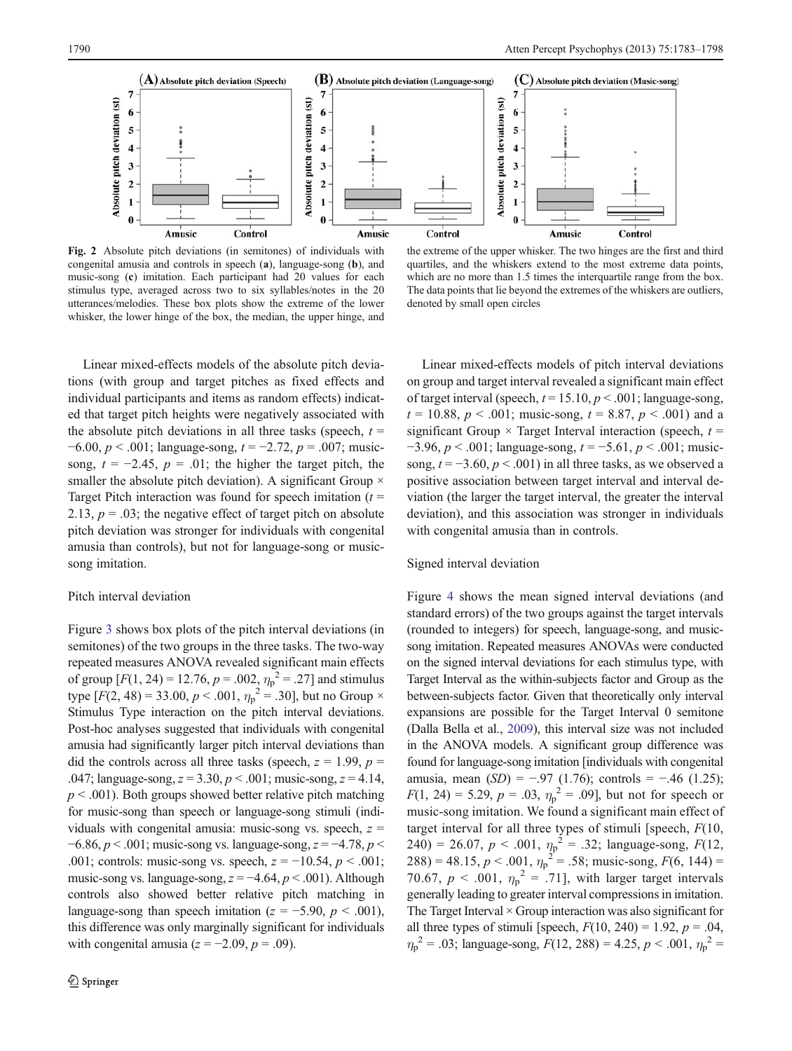<span id="page-7-0"></span>

Fig. 2 Absolute pitch deviations (in semitones) of individuals with congenital amusia and controls in speech (a), language-song (b), and music-song (c) imitation. Each participant had 20 values for each stimulus type, averaged across two to six syllables/notes in the 20 utterances/melodies. These box plots show the extreme of the lower whisker, the lower hinge of the box, the median, the upper hinge, and

the extreme of the upper whisker. The two hinges are the first and third quartiles, and the whiskers extend to the most extreme data points, which are no more than 1.5 times the interquartile range from the box. The data points that lie beyond the extremes of the whiskers are outliers, denoted by small open circles

Linear mixed-effects models of the absolute pitch deviations (with group and target pitches as fixed effects and individual participants and items as random effects) indicated that target pitch heights were negatively associated with the absolute pitch deviations in all three tasks (speech,  $t =$  $-6.00, p < .001$ ; language-song,  $t = -2.72, p = .007$ ; musicsong,  $t = -2.45$ ,  $p = .01$ ; the higher the target pitch, the smaller the absolute pitch deviation). A significant Group  $\times$ Target Pitch interaction was found for speech imitation  $(t =$ 2.13,  $p = .03$ ; the negative effect of target pitch on absolute pitch deviation was stronger for individuals with congenital amusia than controls), but not for language-song or musicsong imitation.

## Pitch interval deviation

Figure [3](#page-8-0) shows box plots of the pitch interval deviations (in semitones) of the two groups in the three tasks. The two-way repeated measures ANOVA revealed significant main effects of group  $[F(1, 24) = 12.76, p = .002, \eta_p^2 = .27]$  and stimulus type  $[F(2, 48) = 33.00, p < .001, \eta_p^2 = .30]$ , but no Group  $\times$ Stimulus Type interaction on the pitch interval deviations. Post-hoc analyses suggested that individuals with congenital amusia had significantly larger pitch interval deviations than did the controls across all three tasks (speech,  $z = 1.99$ ,  $p =$ .047; language-song,  $z = 3.30$ ,  $p < .001$ ; music-song,  $z = 4.14$ ,  $p < .001$ ). Both groups showed better relative pitch matching for music-song than speech or language-song stimuli (individuals with congenital amusia: music-song vs. speech,  $z =$  $-6.86$ ,  $p < .001$ ; music-song vs. language-song,  $z = -4.78$ ,  $p <$ .001; controls: music-song vs. speech,  $z = -10.54$ ,  $p < .001$ ; music-song vs. language-song,  $z = -4.64$ ,  $p < .001$ ). Although controls also showed better relative pitch matching in language-song than speech imitation ( $z = -5.90, p < .001$ ), this difference was only marginally significant for individuals with congenital amusia ( $z = -2.09$ ,  $p = .09$ ).

Linear mixed-effects models of pitch interval deviations on group and target interval revealed a significant main effect of target interval (speech,  $t = 15.10, p < .001$ ; language-song,  $t = 10.88$ ,  $p < .001$ ; music-song,  $t = 8.87$ ,  $p < .001$ ) and a significant Group  $\times$  Target Interval interaction (speech,  $t =$  $-3.96, p < .001$ ; language-song,  $t = -5.61, p < .001$ ; musicsong,  $t = -3.60, p < .001$ ) in all three tasks, as we observed a positive association between target interval and interval deviation (the larger the target interval, the greater the interval deviation), and this association was stronger in individuals with congenital amusia than in controls.

## Signed interval deviation

Figure [4](#page-8-0) shows the mean signed interval deviations (and standard errors) of the two groups against the target intervals (rounded to integers) for speech, language-song, and musicsong imitation. Repeated measures ANOVAs were conducted on the signed interval deviations for each stimulus type, with Target Interval as the within-subjects factor and Group as the between-subjects factor. Given that theoretically only interval expansions are possible for the Target Interval 0 semitone (Dalla Bella et al., [2009](#page-13-0)), this interval size was not included in the ANOVA models. A significant group difference was found for language-song imitation [individuals with congenital amusia, mean  $(SD) = -.97$  (1.76); controls = -.46 (1.25);  $F(1, 24) = 5.29, p = .03, \eta_p^2 = .09$ , but not for speech or music-song imitation. We found a significant main effect of target interval for all three types of stimuli [speech,  $F(10, 10)$ ] 240) = 26.07,  $p < .001$ ,  $\eta_p^2 = .32$ ; language-song,  $F(12)$ , 288) = 48.15,  $p < .001$ ,  $\eta_p^2 = .58$ ; music-song,  $F(6, 144) =$ 70.67,  $p < .001$ ,  $\eta_p^2 = .71$ , with larger target intervals generally leading to greater interval compressions in imitation. The Target Interval  $\times$  Group interaction was also significant for all three types of stimuli [speech,  $F(10, 240) = 1.92$ ,  $p = .04$ ,  $\eta_p^2$  = .03; language-song,  $F(12, 288) = 4.25$ ,  $p < .001$ ,  $\eta_p^2$  =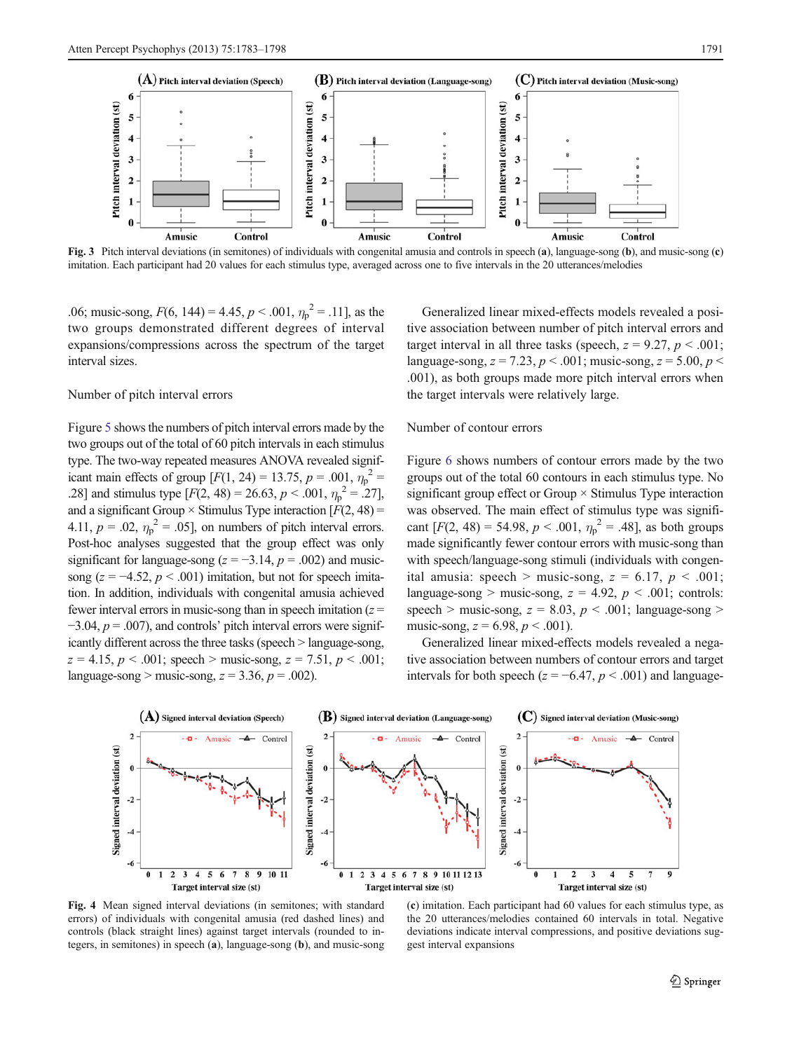<span id="page-8-0"></span>

Fig. 3 Pitch interval deviations (in semitones) of individuals with congenital amusia and controls in speech (a), language-song (b), and music-song (c) imitation. Each participant had 20 values for each stimulus type, averaged across one to five intervals in the 20 utterances/melodies

.06; music-song,  $F(6, 144) = 4.45$ ,  $p < .001$ ,  $\eta_p^2 = .11$ , as the two groups demonstrated different degrees of interval expansions/compressions across the spectrum of the target interval sizes.

#### Number of pitch interval errors

Figure [5](#page-9-0) shows the numbers of pitch interval errors made by the two groups out of the total of 60 pitch intervals in each stimulus type. The two-way repeated measures ANOVA revealed significant main effects of group  $[F(1, 24) = 13.75, p = .001, \eta_p^2]$ .28] and stimulus type  $[F(2, 48) = 26.63, p < .001, \eta_p^2 = .27]$ , and a significant Group  $\times$  Stimulus Type interaction  $[F(2, 48) =$ 4.11,  $p = .02$ ,  $\eta_p^2 = .05$ ], on numbers of pitch interval errors. Post-hoc analyses suggested that the group effect was only significant for language-song ( $z = -3.14$ ,  $p = .002$ ) and musicsong ( $z = -4.52$ ,  $p < .001$ ) imitation, but not for speech imitation. In addition, individuals with congenital amusia achieved fewer interval errors in music-song than in speech imitation  $(z =$  $-3.04$ ,  $p = .007$ ), and controls' pitch interval errors were significantly different across the three tasks (speech > language-song,  $z = 4.15$ ,  $p < .001$ ; speech > music-song,  $z = 7.51$ ,  $p < .001$ ; language-song > music-song,  $z = 3.36$ ,  $p = .002$ ).

Generalized linear mixed-effects models revealed a positive association between number of pitch interval errors and target interval in all three tasks (speech,  $z = 9.27$ ,  $p < .001$ ; language-song,  $z = 7.23$ ,  $p < .001$ ; music-song,  $z = 5.00$ ,  $p <$ .001), as both groups made more pitch interval errors when the target intervals were relatively large.

# Number of contour errors

Figure [6](#page-9-0) shows numbers of contour errors made by the two groups out of the total 60 contours in each stimulus type. No significant group effect or Group × Stimulus Type interaction was observed. The main effect of stimulus type was significant  $[F(2, 48) = 54.98, p < .001, \eta_p^2 = .48]$ , as both groups made significantly fewer contour errors with music-song than with speech/language-song stimuli (individuals with congenital amusia: speech > music-song,  $z = 6.17$ ,  $p < .001$ ; language-song > music-song,  $z = 4.92$ ,  $p < .001$ ; controls: speech > music-song,  $z = 8.03$ ,  $p < .001$ ; language-song > music-song,  $z = 6.98$ ,  $p < .001$ ).

Generalized linear mixed-effects models revealed a negative association between numbers of contour errors and target intervals for both speech ( $z = -6.47$ ,  $p < .001$ ) and language-



Fig. 4 Mean signed interval deviations (in semitones; with standard errors) of individuals with congenital amusia (red dashed lines) and controls (black straight lines) against target intervals (rounded to integers, in semitones) in speech (a), language-song (b), and music-song

(c) imitation. Each participant had 60 values for each stimulus type, as the 20 utterances/melodies contained 60 intervals in total. Negative deviations indicate interval compressions, and positive deviations suggest interval expansions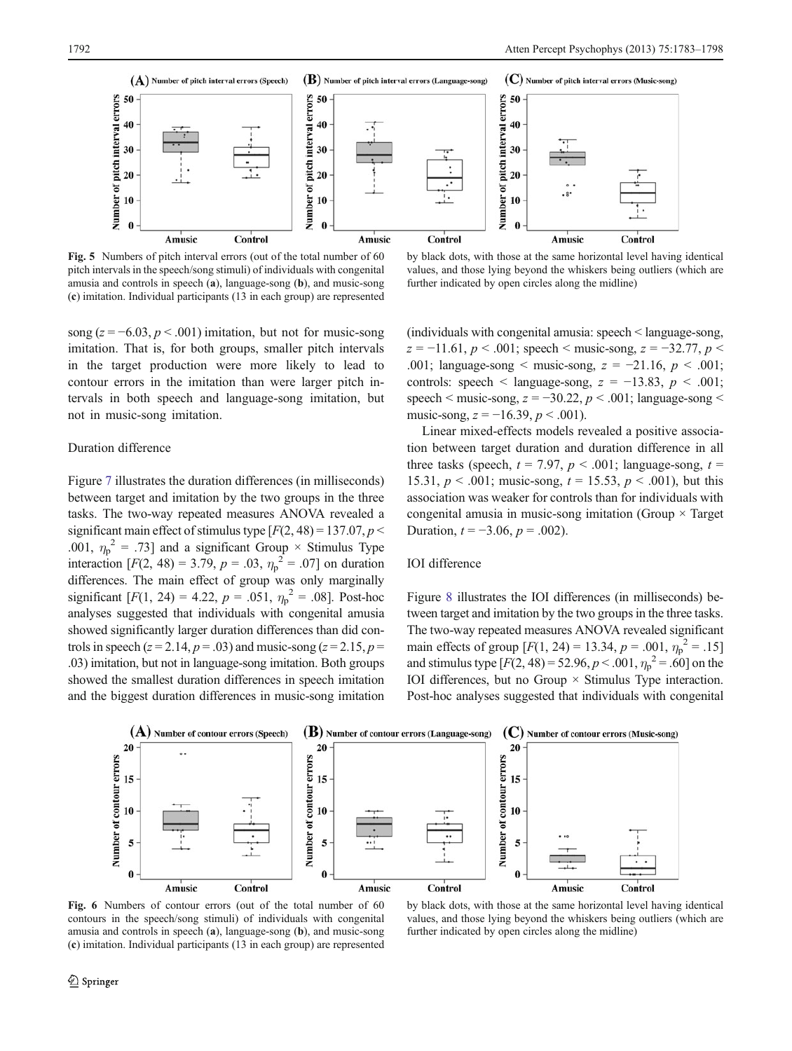<span id="page-9-0"></span>

Fig. 5 Numbers of pitch interval errors (out of the total number of 60 pitch intervals in the speech/song stimuli) of individuals with congenital amusia and controls in speech (a), language-song (b), and music-song (c) imitation. Individual participants (13 in each group) are represented

by black dots, with those at the same horizontal level having identical values, and those lying beyond the whiskers being outliers (which are further indicated by open circles along the midline)

song ( $z = -6.03$ ,  $p < .001$ ) imitation, but not for music-song imitation. That is, for both groups, smaller pitch intervals in the target production were more likely to lead to contour errors in the imitation than were larger pitch intervals in both speech and language-song imitation, but not in music-song imitation.

## Duration difference

Figure [7](#page-10-0) illustrates the duration differences (in milliseconds) between target and imitation by the two groups in the three tasks. The two-way repeated measures ANOVA revealed a significant main effect of stimulus type  $[F(2, 48) = 137.07, p <$ .001,  $\eta_p^2$  = .73] and a significant Group × Stimulus Type interaction  $[F(2, 48) = 3.79, p = .03, \eta_p^2 = .07]$  on duration differences. The main effect of group was only marginally significant  $[F(1, 24) = 4.22, p = .051, \eta_p^2 = .08]$ . Post-hoc analyses suggested that individuals with congenital amusia showed significantly larger duration differences than did controls in speech ( $z = 2.14$ ,  $p = .03$ ) and music-song ( $z = 2.15$ ,  $p =$ .03) imitation, but not in language-song imitation. Both groups showed the smallest duration differences in speech imitation and the biggest duration differences in music-song imitation

(individuals with congenital amusia: speech < language-song,  $z = -11.61$ ,  $p < .001$ ; speech < music-song,  $z = -32.77$ ,  $p <$ .001; language-song < music-song,  $z = -21.16$ ,  $p < .001$ ; controls: speech < language-song,  $z = -13.83$ ,  $p \le .001$ ; speech < music-song,  $z = -30.22$ ,  $p < .001$ ; language-song < music-song,  $z = -16.39$ ,  $p < .001$ ).

Linear mixed-effects models revealed a positive association between target duration and duration difference in all three tasks (speech,  $t = 7.97$ ,  $p < .001$ ; language-song,  $t =$ 15.31,  $p < .001$ ; music-song,  $t = 15.53$ ,  $p < .001$ ), but this association was weaker for controls than for individuals with congenital amusia in music-song imitation (Group  $\times$  Target Duration,  $t = -3.06$ ,  $p = .002$ ).

# IOI difference

Figure [8](#page-10-0) illustrates the IOI differences (in milliseconds) between target and imitation by the two groups in the three tasks. The two-way repeated measures ANOVA revealed significant main effects of group  $[F(1, 24) = 13.34, p = .001, \eta_p^2 = .15]$ and stimulus type  $[F(2, 48) = 52.96, p < .001, \eta_p^2 = .60]$  on the IOI differences, but no Group × Stimulus Type interaction. Post-hoc analyses suggested that individuals with congenital



Fig. 6 Numbers of contour errors (out of the total number of 60 contours in the speech/song stimuli) of individuals with congenital amusia and controls in speech (a), language-song (b), and music-song (c) imitation. Individual participants (13 in each group) are represented

by black dots, with those at the same horizontal level having identical values, and those lying beyond the whiskers being outliers (which are further indicated by open circles along the midline)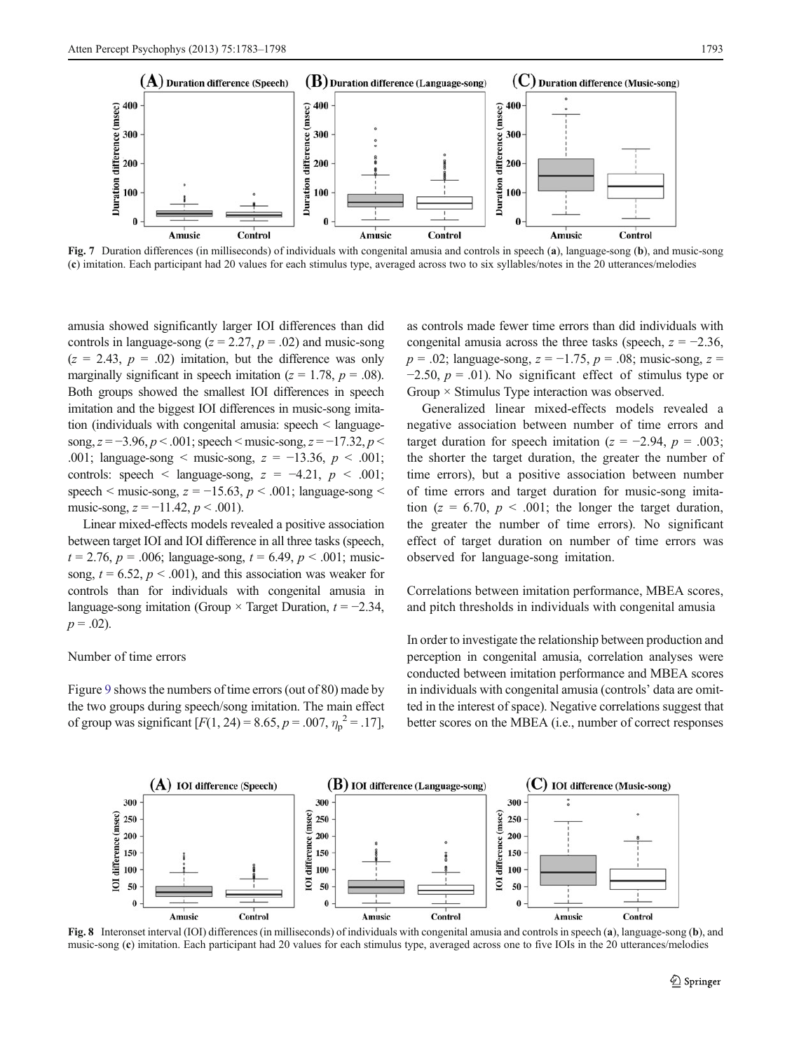<span id="page-10-0"></span>

Fig. 7 Duration differences (in milliseconds) of individuals with congenital amusia and controls in speech (a), language-song (b), and music-song (c) imitation. Each participant had 20 values for each stimulus type, averaged across two to six syllables/notes in the 20 utterances/melodies

amusia showed significantly larger IOI differences than did controls in language-song ( $z = 2.27$ ,  $p = .02$ ) and music-song  $(z = 2.43, p = .02)$  imitation, but the difference was only marginally significant in speech imitation ( $z = 1.78$ ,  $p = .08$ ). Both groups showed the smallest IOI differences in speech imitation and the biggest IOI differences in music-song imitation (individuals with congenital amusia: speech < languagesong,  $z = -3.96$ ,  $p < .001$ ; speech < music-song,  $z = -17.32$ ,  $p <$ .001; language-song < music-song,  $z = -13.36$ ,  $p \le 0.001$ ; controls: speech < language-song,  $z = -4.21$ ,  $p \le .001$ ; speech < music-song,  $z = -15.63$ ,  $p < .001$ ; language-song < music-song,  $z = -11.42$ ,  $p < .001$ ).

Linear mixed-effects models revealed a positive association between target IOI and IOI difference in all three tasks (speech,  $t = 2.76$ ,  $p = .006$ ; language-song,  $t = 6.49$ ,  $p < .001$ ; musicsong,  $t = 6.52$ ,  $p < .001$ ), and this association was weaker for controls than for individuals with congenital amusia in language-song imitation (Group × Target Duration,  $t = -2.34$ ,  $p = .02$ ).

# Number of time errors

Figure [9](#page-11-0) shows the numbers of time errors (out of 80) made by the two groups during speech/song imitation. The main effect of group was significant  $[F(1, 24) = 8.65, p = .007, \eta_p^2 = .17]$ ,

as controls made fewer time errors than did individuals with congenital amusia across the three tasks (speech,  $z = -2.36$ ,  $p = .02$ ; language-song,  $z = -1.75$ ,  $p = .08$ ; music-song,  $z =$  $-2.50$ ,  $p = .01$ ). No significant effect of stimulus type or Group  $\times$  Stimulus Type interaction was observed.

Generalized linear mixed-effects models revealed a negative association between number of time errors and target duration for speech imitation ( $z = -2.94$ ,  $p = .003$ ; the shorter the target duration, the greater the number of time errors), but a positive association between number of time errors and target duration for music-song imitation ( $z = 6.70$ ,  $p < .001$ ; the longer the target duration, the greater the number of time errors). No significant effect of target duration on number of time errors was observed for language-song imitation.

Correlations between imitation performance, MBEA scores, and pitch thresholds in individuals with congenital amusia

In order to investigate the relationship between production and perception in congenital amusia, correlation analyses were conducted between imitation performance and MBEA scores in individuals with congenital amusia (controls' data are omitted in the interest of space). Negative correlations suggest that better scores on the MBEA (i.e., number of correct responses



Fig. 8 Interonset interval (IOI) differences (in milliseconds) of individuals with congenital amusia and controls in speech (a), language-song (b), and music-song (c) imitation. Each participant had 20 values for each stimulus type, averaged across one to five IOIs in the 20 utterances/melodies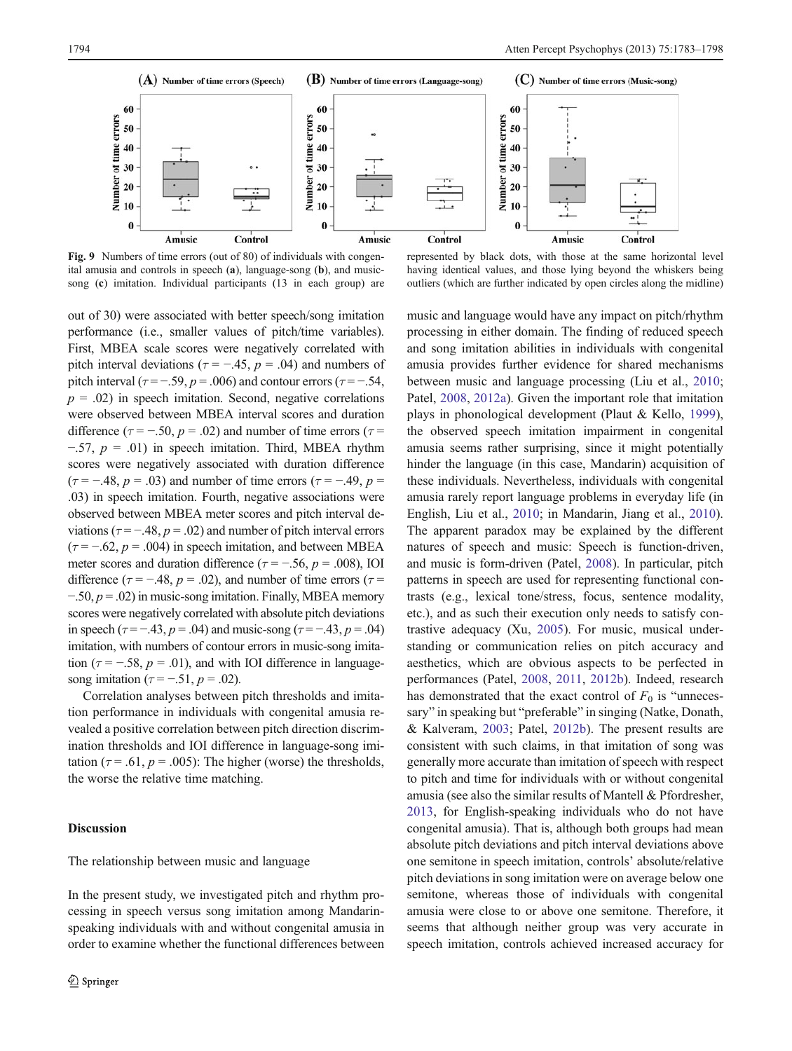<span id="page-11-0"></span>

Fig. 9 Numbers of time errors (out of 80) of individuals with congenital amusia and controls in speech (a), language-song (b), and musicsong (c) imitation. Individual participants (13 in each group) are

represented by black dots, with those at the same horizontal level having identical values, and those lying beyond the whiskers being outliers (which are further indicated by open circles along the midline)

out of 30) were associated with better speech/song imitation performance (i.e., smaller values of pitch/time variables). First, MBEA scale scores were negatively correlated with pitch interval deviations ( $\tau = -0.45$ ,  $p = 0.04$ ) and numbers of pitch interval ( $\tau = -0.59$ ,  $p = 0.006$ ) and contour errors ( $\tau = -0.54$ ,  $p = .02$ ) in speech imitation. Second, negative correlations were observed between MBEA interval scores and duration difference ( $\tau = -0.50$ ,  $p = 0.02$ ) and number of time errors ( $\tau =$  $-0.57$ ,  $p = 0.01$ ) in speech imitation. Third, MBEA rhythm scores were negatively associated with duration difference  $(\tau = -.48, p = .03)$  and number of time errors  $(\tau = -.49, p = .03)$ .03) in speech imitation. Fourth, negative associations were observed between MBEA meter scores and pitch interval deviations ( $\tau = -0.48$ ,  $p = 0.02$ ) and number of pitch interval errors  $(\tau = -.62, p = .004)$  in speech imitation, and between MBEA meter scores and duration difference ( $\tau = -0.56$ ,  $p = 0.008$ ), IOI difference ( $\tau = -.48$ ,  $p = .02$ ), and number of time errors ( $\tau =$  $-0.50, p = 0.02$ ) in music-song imitation. Finally, MBEA memory scores were negatively correlated with absolute pitch deviations in speech ( $\tau = -0.43$ ,  $p = 0.04$ ) and music-song ( $\tau = -0.43$ ,  $p = 0.04$ ) imitation, with numbers of contour errors in music-song imitation ( $\tau = -.58$ ,  $p = .01$ ), and with IOI difference in languagesong imitation ( $\tau = -.51$ ,  $p = .02$ ).

Correlation analyses between pitch thresholds and imitation performance in individuals with congenital amusia revealed a positive correlation between pitch direction discrimination thresholds and IOI difference in language-song imitation ( $\tau$  = .61,  $p$  = .005): The higher (worse) the thresholds, the worse the relative time matching.

# Discussion

The relationship between music and language

In the present study, we investigated pitch and rhythm processing in speech versus song imitation among Mandarinspeaking individuals with and without congenital amusia in order to examine whether the functional differences between music and language would have any impact on pitch/rhythm processing in either domain. The finding of reduced speech and song imitation abilities in individuals with congenital amusia provides further evidence for shared mechanisms between music and language processing (Liu et al., [2010;](#page-14-0) Patel, [2008](#page-14-0), [2012a\)](#page-14-0). Given the important role that imitation plays in phonological development (Plaut & Kello, [1999\)](#page-14-0), the observed speech imitation impairment in congenital amusia seems rather surprising, since it might potentially hinder the language (in this case, Mandarin) acquisition of these individuals. Nevertheless, individuals with congenital amusia rarely report language problems in everyday life (in English, Liu et al., [2010;](#page-14-0) in Mandarin, Jiang et al., [2010\)](#page-14-0). The apparent paradox may be explained by the different natures of speech and music: Speech is function-driven, and music is form-driven (Patel, [2008\)](#page-14-0). In particular, pitch patterns in speech are used for representing functional contrasts (e.g., lexical tone/stress, focus, sentence modality, etc.), and as such their execution only needs to satisfy contrastive adequacy (Xu, [2005](#page-15-0)). For music, musical understanding or communication relies on pitch accuracy and aesthetics, which are obvious aspects to be perfected in performances (Patel, [2008](#page-14-0), [2011](#page-14-0), [2012b](#page-14-0)). Indeed, research has demonstrated that the exact control of  $F_0$  is "unnecessary" in speaking but "preferable" in singing (Natke, Donath, & Kalveram, [2003](#page-14-0); Patel, [2012b](#page-14-0)). The present results are consistent with such claims, in that imitation of song was generally more accurate than imitation of speech with respect to pitch and time for individuals with or without congenital amusia (see also the similar results of Mantell & Pfordresher, [2013](#page-14-0), for English-speaking individuals who do not have congenital amusia). That is, although both groups had mean absolute pitch deviations and pitch interval deviations above one semitone in speech imitation, controls' absolute/relative pitch deviations in song imitation were on average below one semitone, whereas those of individuals with congenital amusia were close to or above one semitone. Therefore, it seems that although neither group was very accurate in speech imitation, controls achieved increased accuracy for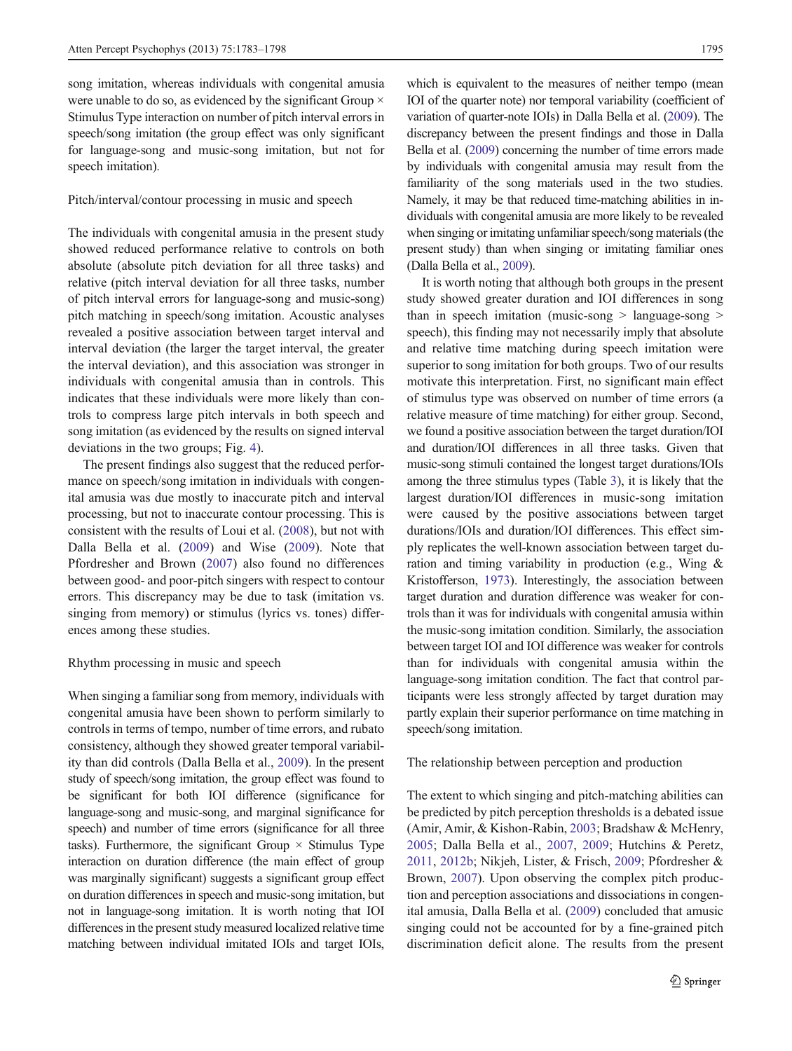song imitation, whereas individuals with congenital amusia were unable to do so, as evidenced by the significant Group  $\times$ Stimulus Type interaction on number of pitch interval errors in speech/song imitation (the group effect was only significant for language-song and music-song imitation, but not for speech imitation).

#### Pitch/interval/contour processing in music and speech

The individuals with congenital amusia in the present study showed reduced performance relative to controls on both absolute (absolute pitch deviation for all three tasks) and relative (pitch interval deviation for all three tasks, number of pitch interval errors for language-song and music-song) pitch matching in speech/song imitation. Acoustic analyses revealed a positive association between target interval and interval deviation (the larger the target interval, the greater the interval deviation), and this association was stronger in individuals with congenital amusia than in controls. This indicates that these individuals were more likely than controls to compress large pitch intervals in both speech and song imitation (as evidenced by the results on signed interval deviations in the two groups; Fig. [4\)](#page-8-0).

The present findings also suggest that the reduced performance on speech/song imitation in individuals with congenital amusia was due mostly to inaccurate pitch and interval processing, but not to inaccurate contour processing. This is consistent with the results of Loui et al. ([2008\)](#page-14-0), but not with Dalla Bella et al. ([2009\)](#page-13-0) and Wise [\(2009](#page-15-0)). Note that Pfordresher and Brown [\(2007](#page-14-0)) also found no differences between good- and poor-pitch singers with respect to contour errors. This discrepancy may be due to task (imitation vs. singing from memory) or stimulus (lyrics vs. tones) differences among these studies.

#### Rhythm processing in music and speech

When singing a familiar song from memory, individuals with congenital amusia have been shown to perform similarly to controls in terms of tempo, number of time errors, and rubato consistency, although they showed greater temporal variability than did controls (Dalla Bella et al., [2009\)](#page-13-0). In the present study of speech/song imitation, the group effect was found to be significant for both IOI difference (significance for language-song and music-song, and marginal significance for speech) and number of time errors (significance for all three tasks). Furthermore, the significant Group  $\times$  Stimulus Type interaction on duration difference (the main effect of group was marginally significant) suggests a significant group effect on duration differences in speech and music-song imitation, but not in language-song imitation. It is worth noting that IOI differences in the present study measured localized relative time matching between individual imitated IOIs and target IOIs,

which is equivalent to the measures of neither tempo (mean IOI of the quarter note) nor temporal variability (coefficient of variation of quarter-note IOIs) in Dalla Bella et al. [\(2009](#page-13-0)). The discrepancy between the present findings and those in Dalla Bella et al. [\(2009](#page-13-0)) concerning the number of time errors made by individuals with congenital amusia may result from the familiarity of the song materials used in the two studies. Namely, it may be that reduced time-matching abilities in individuals with congenital amusia are more likely to be revealed when singing or imitating unfamiliar speech/song materials (the present study) than when singing or imitating familiar ones (Dalla Bella et al., [2009](#page-13-0)).

It is worth noting that although both groups in the present study showed greater duration and IOI differences in song than in speech imitation (music-song > language-song > speech), this finding may not necessarily imply that absolute and relative time matching during speech imitation were superior to song imitation for both groups. Two of our results motivate this interpretation. First, no significant main effect of stimulus type was observed on number of time errors (a relative measure of time matching) for either group. Second, we found a positive association between the target duration/IOI and duration/IOI differences in all three tasks. Given that music-song stimuli contained the longest target durations/IOIs among the three stimulus types (Table [3](#page-5-0)), it is likely that the largest duration/IOI differences in music-song imitation were caused by the positive associations between target durations/IOIs and duration/IOI differences. This effect simply replicates the well-known association between target duration and timing variability in production (e.g., Wing & Kristofferson, [1973\)](#page-15-0). Interestingly, the association between target duration and duration difference was weaker for controls than it was for individuals with congenital amusia within the music-song imitation condition. Similarly, the association between target IOI and IOI difference was weaker for controls than for individuals with congenital amusia within the language-song imitation condition. The fact that control participants were less strongly affected by target duration may partly explain their superior performance on time matching in speech/song imitation.

#### The relationship between perception and production

The extent to which singing and pitch-matching abilities can be predicted by pitch perception thresholds is a debated issue (Amir, Amir, & Kishon-Rabin, [2003;](#page-13-0) Bradshaw & McHenry, [2005](#page-13-0); Dalla Bella et al., [2007](#page-13-0), [2009](#page-13-0); Hutchins & Peretz, [2011,](#page-14-0) [2012b](#page-14-0); Nikjeh, Lister, & Frisch, [2009](#page-14-0); Pfordresher & Brown, [2007](#page-14-0)). Upon observing the complex pitch production and perception associations and dissociations in congenital amusia, Dalla Bella et al. ([2009\)](#page-13-0) concluded that amusic singing could not be accounted for by a fine-grained pitch discrimination deficit alone. The results from the present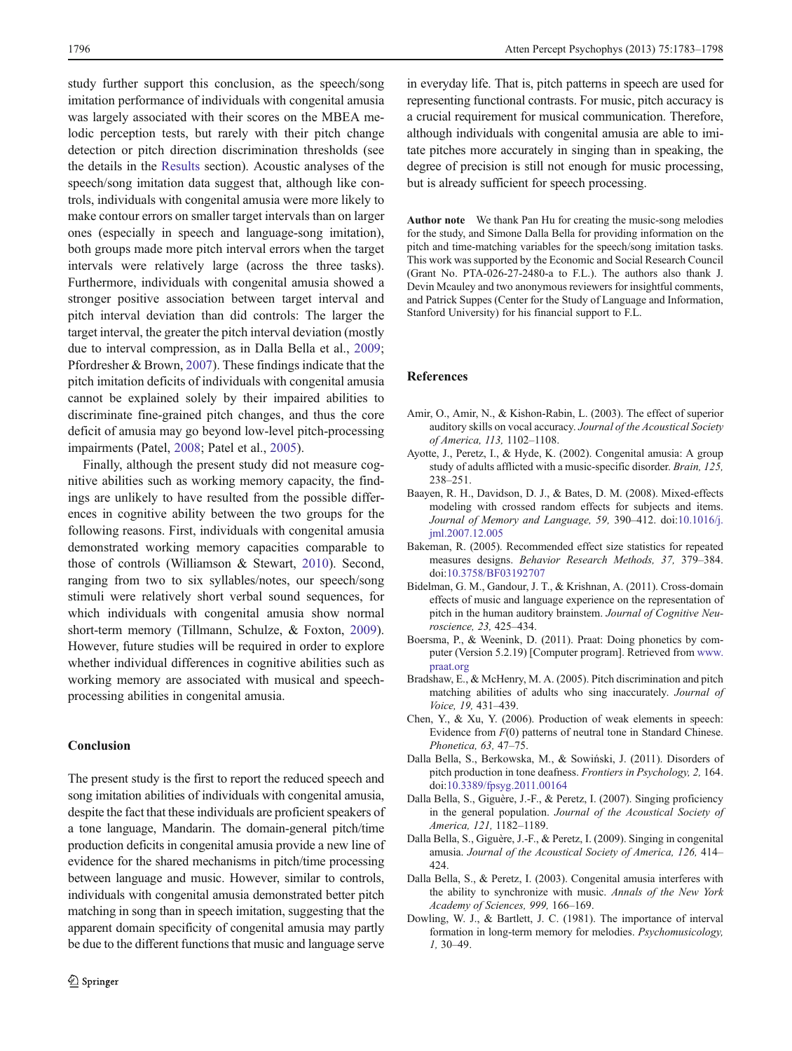<span id="page-13-0"></span>study further support this conclusion, as the speech/song imitation performance of individuals with congenital amusia was largely associated with their scores on the MBEA melodic perception tests, but rarely with their pitch change detection or pitch direction discrimination thresholds (see the details in the [Results](#page-6-0) section). Acoustic analyses of the speech/song imitation data suggest that, although like controls, individuals with congenital amusia were more likely to make contour errors on smaller target intervals than on larger ones (especially in speech and language-song imitation), both groups made more pitch interval errors when the target intervals were relatively large (across the three tasks). Furthermore, individuals with congenital amusia showed a stronger positive association between target interval and pitch interval deviation than did controls: The larger the target interval, the greater the pitch interval deviation (mostly due to interval compression, as in Dalla Bella et al., 2009; Pfordresher & Brown, [2007\)](#page-14-0). These findings indicate that the pitch imitation deficits of individuals with congenital amusia cannot be explained solely by their impaired abilities to discriminate fine-grained pitch changes, and thus the core deficit of amusia may go beyond low-level pitch-processing impairments (Patel, [2008](#page-14-0); Patel et al., [2005](#page-14-0)).

Finally, although the present study did not measure cognitive abilities such as working memory capacity, the findings are unlikely to have resulted from the possible differences in cognitive ability between the two groups for the following reasons. First, individuals with congenital amusia demonstrated working memory capacities comparable to those of controls (Williamson & Stewart, [2010](#page-15-0)). Second, ranging from two to six syllables/notes, our speech/song stimuli were relatively short verbal sound sequences, for which individuals with congenital amusia show normal short-term memory (Tillmann, Schulze, & Foxton, [2009](#page-14-0)). However, future studies will be required in order to explore whether individual differences in cognitive abilities such as working memory are associated with musical and speechprocessing abilities in congenital amusia.

## **Conclusion**

The present study is the first to report the reduced speech and song imitation abilities of individuals with congenital amusia, despite the fact that these individuals are proficient speakers of a tone language, Mandarin. The domain-general pitch/time production deficits in congenital amusia provide a new line of evidence for the shared mechanisms in pitch/time processing between language and music. However, similar to controls, individuals with congenital amusia demonstrated better pitch matching in song than in speech imitation, suggesting that the apparent domain specificity of congenital amusia may partly be due to the different functions that music and language serve

in everyday life. That is, pitch patterns in speech are used for representing functional contrasts. For music, pitch accuracy is a crucial requirement for musical communication. Therefore, although individuals with congenital amusia are able to imitate pitches more accurately in singing than in speaking, the degree of precision is still not enough for music processing, but is already sufficient for speech processing.

Author note We thank Pan Hu for creating the music-song melodies for the study, and Simone Dalla Bella for providing information on the pitch and time-matching variables for the speech/song imitation tasks. This work was supported by the Economic and Social Research Council (Grant No. PTA-026-27-2480-a to F.L.). The authors also thank J. Devin Mcauley and two anonymous reviewers for insightful comments, and Patrick Suppes (Center for the Study of Language and Information, Stanford University) for his financial support to F.L.

#### References

- Amir, O., Amir, N., & Kishon-Rabin, L. (2003). The effect of superior auditory skills on vocal accuracy. Journal of the Acoustical Society of America, 113, 1102–1108.
- Ayotte, J., Peretz, I., & Hyde, K. (2002). Congenital amusia: A group study of adults afflicted with a music-specific disorder. Brain, 125, 238–251.
- Baayen, R. H., Davidson, D. J., & Bates, D. M. (2008). Mixed-effects modeling with crossed random effects for subjects and items. Journal of Memory and Language, 59, 390–412. doi[:10.1016/j.](http://dx.doi.org/10.1016/j.jml.2007.12.005) [jml.2007.12.005](http://dx.doi.org/10.1016/j.jml.2007.12.005)
- Bakeman, R. (2005). Recommended effect size statistics for repeated measures designs. Behavior Research Methods, 37, 379–384. doi[:10.3758/BF03192707](http://dx.doi.org/10.3758/BF03192707)
- Bidelman, G. M., Gandour, J. T., & Krishnan, A. (2011). Cross-domain effects of music and language experience on the representation of pitch in the human auditory brainstem. Journal of Cognitive Neuroscience, 23, 425–434.
- Boersma, P., & Weenink, D. (2011). Praat: Doing phonetics by computer (Version 5.2.19) [Computer program]. Retrieved from [www.](http://www.praat.org/) [praat.org](http://www.praat.org/)
- Bradshaw, E., & McHenry, M. A. (2005). Pitch discrimination and pitch matching abilities of adults who sing inaccurately. Journal of Voice, 19, 431–439.
- Chen, Y., & Xu, Y. (2006). Production of weak elements in speech: Evidence from  $F(0)$  patterns of neutral tone in Standard Chinese. Phonetica, 63, 47–75.
- Dalla Bella, S., Berkowska, M., & Sowiński, J. (2011). Disorders of pitch production in tone deafness. Frontiers in Psychology, 2, 164. doi[:10.3389/fpsyg.2011.00164](http://dx.doi.org/10.3389/fpsyg.2011.00164)
- Dalla Bella, S., Giguère, J.-F., & Peretz, I. (2007). Singing proficiency in the general population. Journal of the Acoustical Society of America, 121, 1182–1189.
- Dalla Bella, S., Giguère, J.-F., & Peretz, I. (2009). Singing in congenital amusia. Journal of the Acoustical Society of America, 126, 414– 424.
- Dalla Bella, S., & Peretz, I. (2003). Congenital amusia interferes with the ability to synchronize with music. Annals of the New York Academy of Sciences, 999, 166–169.
- Dowling, W. J., & Bartlett, J. C. (1981). The importance of interval formation in long-term memory for melodies. Psychomusicology, 1, 30–49.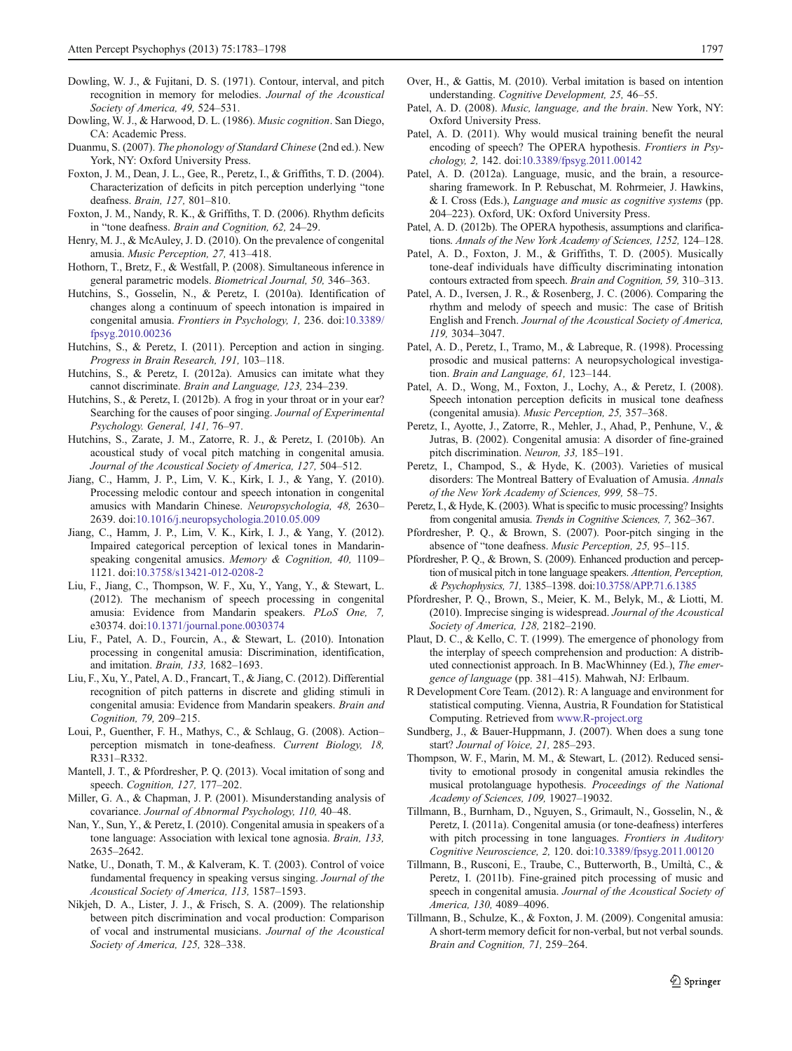- <span id="page-14-0"></span>Dowling, W. J., & Fujitani, D. S. (1971). Contour, interval, and pitch recognition in memory for melodies. Journal of the Acoustical Society of America, 49, 524–531.
- Dowling, W. J., & Harwood, D. L. (1986). Music cognition. San Diego, CA: Academic Press.
- Duanmu, S. (2007). The phonology of Standard Chinese (2nd ed.). New York, NY: Oxford University Press.
- Foxton, J. M., Dean, J. L., Gee, R., Peretz, I., & Griffiths, T. D. (2004). Characterization of deficits in pitch perception underlying "tone deafness. Brain, 127, 801–810.
- Foxton, J. M., Nandy, R. K., & Griffiths, T. D. (2006). Rhythm deficits in "tone deafness. Brain and Cognition, 62, 24–29.
- Henry, M. J., & McAuley, J. D. (2010). On the prevalence of congenital amusia. Music Perception, 27, 413–418.
- Hothorn, T., Bretz, F., & Westfall, P. (2008). Simultaneous inference in general parametric models. Biometrical Journal, 50, 346–363.
- Hutchins, S., Gosselin, N., & Peretz, I. (2010a). Identification of changes along a continuum of speech intonation is impaired in congenital amusia. Frontiers in Psychology, 1, 236. doi[:10.3389/](http://dx.doi.org/10.3389/fpsyg.2010.00236)  $f$ psyg. 2010.00236
- Hutchins, S., & Peretz, I. (2011). Perception and action in singing. Progress in Brain Research, 191, 103–118.
- Hutchins, S., & Peretz, I. (2012a). Amusics can imitate what they cannot discriminate. Brain and Language, 123, 234–239.
- Hutchins, S., & Peretz, I. (2012b). A frog in your throat or in your ear? Searching for the causes of poor singing. Journal of Experimental Psychology. General, 141, 76–97.
- Hutchins, S., Zarate, J. M., Zatorre, R. J., & Peretz, I. (2010b). An acoustical study of vocal pitch matching in congenital amusia. Journal of the Acoustical Society of America, 127, 504–512.
- Jiang, C., Hamm, J. P., Lim, V. K., Kirk, I. J., & Yang, Y. (2010). Processing melodic contour and speech intonation in congenital amusics with Mandarin Chinese. Neuropsychologia, 48, 2630– 2639. doi[:10.1016/j.neuropsychologia.2010.05.009](http://dx.doi.org/10.1016/j.neuropsychologia.2010.05.009)
- Jiang, C., Hamm, J. P., Lim, V. K., Kirk, I. J., & Yang, Y. (2012). Impaired categorical perception of lexical tones in Mandarinspeaking congenital amusics. Memory & Cognition, 40, 1109– 1121. doi[:10.3758/s13421-012-0208-2](http://dx.doi.org/10.3758/s13421-012-0208-2)
- Liu, F., Jiang, C., Thompson, W. F., Xu, Y., Yang, Y., & Stewart, L. (2012). The mechanism of speech processing in congenital amusia: Evidence from Mandarin speakers. PLoS One, 7, e30374. doi[:10.1371/journal.pone.0030374](http://dx.doi.org/10.1371/journal.pone.0030374)
- Liu, F., Patel, A. D., Fourcin, A., & Stewart, L. (2010). Intonation processing in congenital amusia: Discrimination, identification, and imitation. Brain, 133, 1682–1693.
- Liu, F., Xu, Y., Patel, A. D., Francart, T., & Jiang, C. (2012). Differential recognition of pitch patterns in discrete and gliding stimuli in congenital amusia: Evidence from Mandarin speakers. Brain and Cognition, 79, 209–215.
- Loui, P., Guenther, F. H., Mathys, C., & Schlaug, G. (2008). Action– perception mismatch in tone-deafness. Current Biology, 18, R331–R332.
- Mantell, J. T., & Pfordresher, P. Q. (2013). Vocal imitation of song and speech. Cognition, 127, 177–202.
- Miller, G. A., & Chapman, J. P. (2001). Misunderstanding analysis of covariance. Journal of Abnormal Psychology, 110, 40–48.
- Nan, Y., Sun, Y., & Peretz, I. (2010). Congenital amusia in speakers of a tone language: Association with lexical tone agnosia. Brain, 133, 2635–2642.
- Natke, U., Donath, T. M., & Kalveram, K. T. (2003). Control of voice fundamental frequency in speaking versus singing. Journal of the Acoustical Society of America, 113, 1587–1593.
- Nikjeh, D. A., Lister, J. J., & Frisch, S. A. (2009). The relationship between pitch discrimination and vocal production: Comparison of vocal and instrumental musicians. Journal of the Acoustical Society of America, 125, 328–338.
- Over, H., & Gattis, M. (2010). Verbal imitation is based on intention understanding. Cognitive Development, 25, 46–55.
- Patel, A. D. (2008). Music, language, and the brain. New York, NY: Oxford University Press.
- Patel, A. D. (2011). Why would musical training benefit the neural encoding of speech? The OPERA hypothesis. Frontiers in Psychology, 2, 142. doi[:10.3389/fpsyg.2011.00142](http://dx.doi.org/10.3389/fpsyg.2011.00142)
- Patel, A. D. (2012a). Language, music, and the brain, a resourcesharing framework. In P. Rebuschat, M. Rohrmeier, J. Hawkins, & I. Cross (Eds.), Language and music as cognitive systems (pp. 204–223). Oxford, UK: Oxford University Press.
- Patel, A. D. (2012b). The OPERA hypothesis, assumptions and clarifications. Annals of the New York Academy of Sciences, 1252, 124–128.
- Patel, A. D., Foxton, J. M., & Griffiths, T. D. (2005). Musically tone-deaf individuals have difficulty discriminating intonation contours extracted from speech. Brain and Cognition, 59, 310–313.
- Patel, A. D., Iversen, J. R., & Rosenberg, J. C. (2006). Comparing the rhythm and melody of speech and music: The case of British English and French. Journal of the Acoustical Society of America, 119, 3034–3047.
- Patel, A. D., Peretz, I., Tramo, M., & Labreque, R. (1998). Processing prosodic and musical patterns: A neuropsychological investigation. Brain and Language, 61, 123–144.
- Patel, A. D., Wong, M., Foxton, J., Lochy, A., & Peretz, I. (2008). Speech intonation perception deficits in musical tone deafness (congenital amusia). Music Perception, 25, 357–368.
- Peretz, I., Ayotte, J., Zatorre, R., Mehler, J., Ahad, P., Penhune, V., & Jutras, B. (2002). Congenital amusia: A disorder of fine-grained pitch discrimination. Neuron, 33, 185–191.
- Peretz, I., Champod, S., & Hyde, K. (2003). Varieties of musical disorders: The Montreal Battery of Evaluation of Amusia. Annals of the New York Academy of Sciences, 999, 58–75.
- Peretz, I., & Hyde, K. (2003). What is specific to music processing? Insights from congenital amusia. Trends in Cognitive Sciences, 7, 362–367.
- Pfordresher, P. Q., & Brown, S. (2007). Poor-pitch singing in the absence of "tone deafness. Music Perception, 25, 95–115.
- Pfordresher, P. Q., & Brown, S. (2009). Enhanced production and perception of musical pitch in tone language speakers. Attention, Perception, & Psychophysics, 71, 1385–1398. doi:[10.3758/APP.71.6.1385](http://dx.doi.org/10.3758/APP.71.6.1385)
- Pfordresher, P. Q., Brown, S., Meier, K. M., Belyk, M., & Liotti, M. (2010). Imprecise singing is widespread. Journal of the Acoustical Society of America, 128, 2182–2190.
- Plaut, D. C., & Kello, C. T. (1999). The emergence of phonology from the interplay of speech comprehension and production: A distributed connectionist approach. In B. MacWhinney (Ed.), The emergence of language (pp. 381–415). Mahwah, NJ: Erlbaum.
- R Development Core Team. (2012). R: A language and environment for statistical computing. Vienna, Austria, R Foundation for Statistical Computing. Retrieved from [www.R-project.org](http://www.r-project.org/)
- Sundberg, J., & Bauer-Huppmann, J. (2007). When does a sung tone start? Journal of Voice, 21, 285–293.
- Thompson, W. F., Marin, M. M., & Stewart, L. (2012). Reduced sensitivity to emotional prosody in congenital amusia rekindles the musical protolanguage hypothesis. Proceedings of the National Academy of Sciences, 109, 19027–19032.
- Tillmann, B., Burnham, D., Nguyen, S., Grimault, N., Gosselin, N., & Peretz, I. (2011a). Congenital amusia (or tone-deafness) interferes with pitch processing in tone languages. Frontiers in Auditory Cognitive Neuroscience, 2, 120. doi:[10.3389/fpsyg.2011.00120](http://dx.doi.org/10.3389/fpsyg.2011.00120)
- Tillmann, B., Rusconi, E., Traube, C., Butterworth, B., Umiltà, C., & Peretz, I. (2011b). Fine-grained pitch processing of music and speech in congenital amusia. Journal of the Acoustical Society of America, 130, 4089–4096.
- Tillmann, B., Schulze, K., & Foxton, J. M. (2009). Congenital amusia: A short-term memory deficit for non-verbal, but not verbal sounds. Brain and Cognition, 71, 259–264.